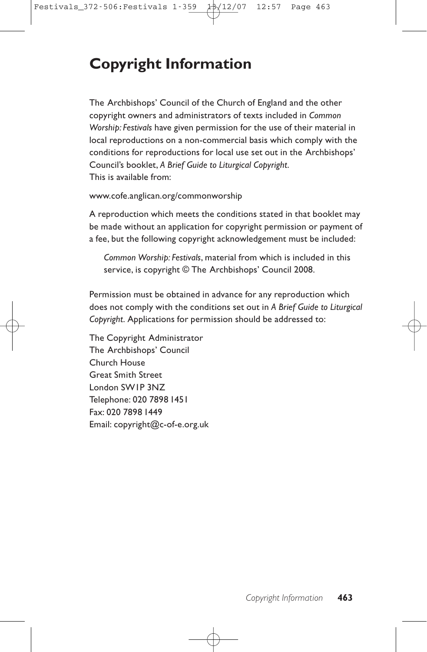## **Copyright Information**

The Archbishops' Council of the Church of England and the other copyright owners and administrators of texts included in *Common Worship: Festivals* have given permission for the use of their material in local reproductions on a non-commercial basis which comply with the conditions for reproductions for local use set out in the Archbishops' Council's booklet, *A Brief Guide to Liturgical Copyright*. This is available from:

www.cofe.anglican.org/commonworship

A reproduction which meets the conditions stated in that booklet may be made without an application for copyright permission or payment of a fee, but the following copyright acknowledgement must be included:

*Common Worship: Festivals*, material from which is included in this service, is copyright © The Archbishops' Council 2008.

Permission must be obtained in advance for any reproduction which does not comply with the conditions set out in *A Brief Guide to Liturgical Copyright*. Applications for permission should be addressed to:

The Copyright Administrator The Archbishops' Council Church House Great Smith Street London SW1P 3NZ Telephone: 020 7898 1451 Fax: 020 7898 1449 Email: copyright@c-of-e.org.uk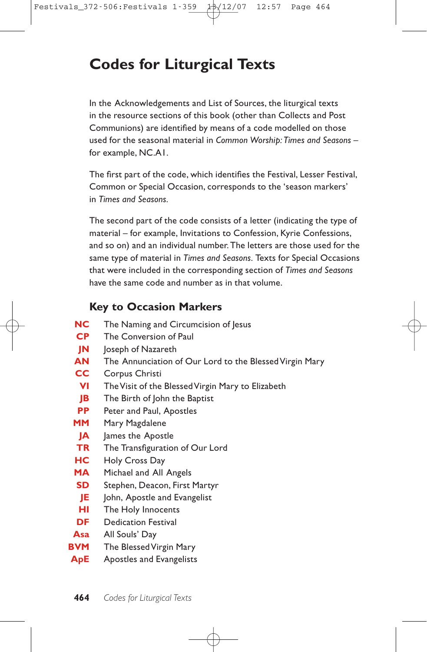# **Codes for Liturgical Texts**

In the Acknowledgements and List of Sources, the liturgical texts in the resource sections of this book (other than Collects and Post Communions) are identified by means of a code modelled on those used for the seasonal material in *Common Worship: Times and Seasons –* for example, NC.A1.

The first part of the code, which identifies the Festival, Lesser Festival, Common or Special Occasion, corresponds to the 'season markers' in *Times and Seasons.*

The second part of the code consists of a letter (indicating the type of material – for example, Invitations to Confession, Kyrie Confessions, and so on) and an individual number.The letters are those used for the same type of material in *Times and Seasons.* Texts for Special Occasions that were included in the corresponding section of *Times and Seasons* have the same code and number as in that volume.

#### **Key to Occasion Markers**

| NC         | The Naming and Circumcision of Jesus                    |
|------------|---------------------------------------------------------|
| CP.        | The Conversion of Paul                                  |
| JN.        | Joseph of Nazareth                                      |
| AN.        | The Annunciation of Our Lord to the Blessed Virgin Mary |
| <b>CC</b>  | Corpus Christi                                          |
| <b>VI</b>  | The Visit of the Blessed Virgin Mary to Elizabeth       |
| JB         | The Birth of John the Baptist                           |
| <b>PP</b>  | Peter and Paul, Apostles                                |
| МM         | Mary Magdalene                                          |
| JA         | James the Apostle                                       |
| <b>TR</b>  | The Transfiguration of Our Lord                         |
| HC.        | Holy Cross Day                                          |
| MA.        | Michael and All Angels                                  |
| <b>SD</b>  | Stephen, Deacon, First Martyr                           |
| JE         | John, Apostle and Evangelist                            |
| нг         | The Holy Innocents                                      |
| DF         | <b>Dedication Festival</b>                              |
| Asa        | All Souls' Day                                          |
| BVM        | The Blessed Virgin Mary                                 |
| <b>ApE</b> | Apostles and Evangelists                                |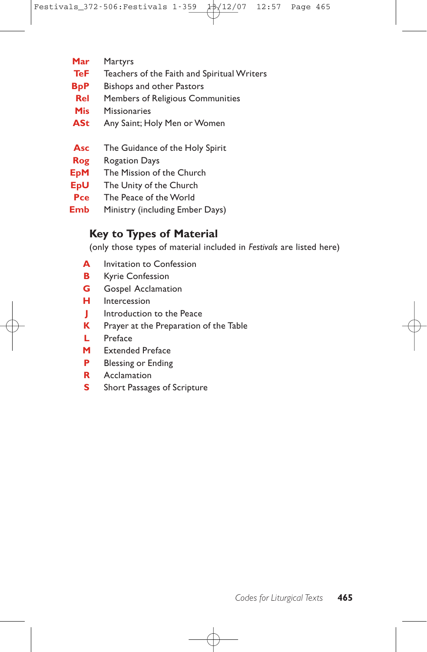- **Mar** Martyrs
- **TeF** Teachers of the Faith and Spiritual Writers
- **BpP** Bishops and other Pastors
- **Rel** Members of Religious Communities
- **Mis** Missionaries
- ASt Any Saint; Holy Men or Women
- **Asc** The Guidance of the Holy Spirit
- **Rog** Rogation Days
- **EpM** The Mission of the Church
- **EpU** The Unity of the Church
- **Pce** The Peace of the World
- **Emb** Ministry (including Ember Days)

### **Key to Types of Material**

(only those types of material included in *Festivals* are listed here)

- **A** Invitation to Confession
- **B** Kyrie Confession
- **G** Gospel Acclamation
- **H** Intercession
- **I** Introduction to the Peace
- **K** Prayer at the Preparation of the Table
- **L** Preface
- **M** Extended Preface
- **P** Blessing or Ending
- **R** Acclamation
- **S** Short Passages of Scripture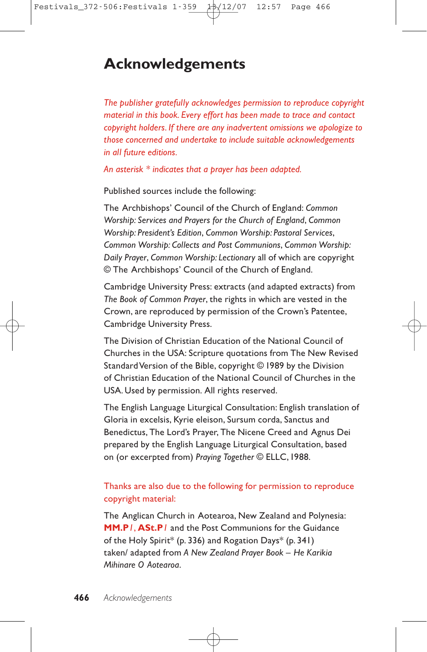Festivals\_372-506: Festivals  $1-359$   $2\frac{1}{8}\sqrt{12/07}$  12:57

### **Acknowledgements**

*The publisher gratefully acknowledges permission to reproduce copyright material in this book. Every effort has been made to trace and contact copyright holders. If there are any inadvertent omissions we apologize to those concerned and undertake to include suitable acknowledgements in all future editions.*

*An asterisk \* indicates that a prayer has been adapted.*

Published sources include the following:

The Archbishops' Council of the Church of England: *Common Worship: Services and Prayers for the Church of England*, *Common Worship: President's Edition*, *Common Worship: Pastoral Services*, *Common Worship: Collects and Post Communions*, *Common Worship: Daily Prayer*, *Common Worship: Lectionary* all of which are copyright © The Archbishops' Council of the Church of England.

Cambridge University Press: extracts (and adapted extracts) from *The Book of Common Prayer*, the rights in which are vested in the Crown, are reproduced by permission of the Crown's Patentee, Cambridge University Press.

The Division of Christian Education of the National Council of Churches in the USA: Scripture quotations from The New Revised Standard Version of the Bible, copyright © 1989 by the Division of Christian Education of the National Council of Churches in the USA. Used by permission. All rights reserved.

The English Language Liturgical Consultation: English translation of Gloria in excelsis, Kyrie eleison, Sursum corda, Sanctus and Benedictus, The Lord's Prayer, The Nicene Creed and Agnus Dei prepared by the English Language Liturgical Consultation, based on (or excerpted from) *Praying Together* © ELLC,1988.

#### Thanks are also due to the following for permission to reproduce copyright material:

The Anglican Church in Aotearoa, New Zealand and Polynesia: **MM.P***1*, **ASt.P***1* and the Post Communions for the Guidance of the Holy Spirit\* (p. 336) and Rogation Days\* (p. 341) taken/ adapted from *A New Zealand Prayer Book – He Karikia Mihinare O Aotearoa*.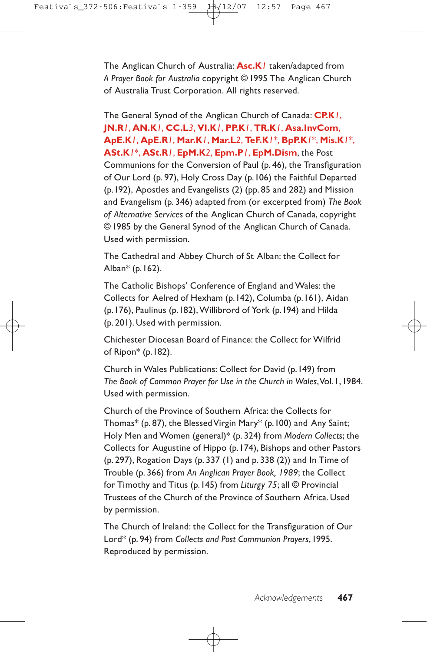The Anglican Church of Australia: **Asc.K***1* taken/adapted from *A Prayer Book for Australia* copyright © 1995 The Anglican Church of Australia Trust Corporation. All rights reserved.

The General Synod of the Anglican Church of Canada: **CP.K***1*, **JN.R***1*, **AN.K***1*, **CC.L***3*, **VI.K***1*, **PP.K***1*, **TR.K***1*, **Asa.InvCom**, **ApE.K***1*, **ApE.R***1*, **Mar.K***1*, **Mar.L***2*, **TeF.K***1*\*, **BpP.K***1*\*, **Mis.K***1*\*, **ASt.K***1*\*, **ASt.R***1*, **EpM.K***2*, **Epm.P***1*, **EpM.Dism**, the Post Communions for the Conversion of Paul (p. 46), the Transfiguration of Our Lord (p. 97), Holy Cross Day (p.106) the Faithful Departed (p.192), Apostles and Evangelists (2) (pp. 85 and 282) and Mission and Evangelism (p. 346) adapted from (or excerpted from) *The Book of Alternative Services* of the Anglican Church of Canada, copyright © 1985 by the General Synod of the Anglican Church of Canada. Used with permission.

The Cathedral and Abbey Church of St Alban: the Collect for Alban\* (p.162).

The Catholic Bishops' Conference of England and Wales: the Collects for Aelred of Hexham (p.142), Columba (p.161), Aidan (p.176), Paulinus (p.182),Willibrord of York (p.194) and Hilda (p. 201). Used with permission.

Chichester Diocesan Board of Finance: the Collect for Wilfrid of Ripon\* (p.182).

Church in Wales Publications: Collect for David (p.149) from *The Book of Common Prayer for Use in the Church in Wales*,Vol.1,1984. Used with permission.

Church of the Province of Southern Africa: the Collects for Thomas\* (p. 87), the BlessedVirgin Mary\* (p.100) and Any Saint; Holy Men and Women (general)\* (p. 324) from *Modern Collects*; the Collects for Augustine of Hippo (p.174), Bishops and other Pastors (p. 297), Rogation Days (p. 337 (1) and p. 338 (2)) and In Time of Trouble (p. 366) from *An Anglican Prayer Book, 1989*; the Collect for Timothy and Titus (p.145) from *Liturgy 75*; all © Provincial Trustees of the Church of the Province of Southern Africa. Used by permission.

The Church of Ireland: the Collect for the Transfiguration of Our Lord\* (p. 94) from *Collects and Post Communion Prayers*,1995. Reproduced by permission.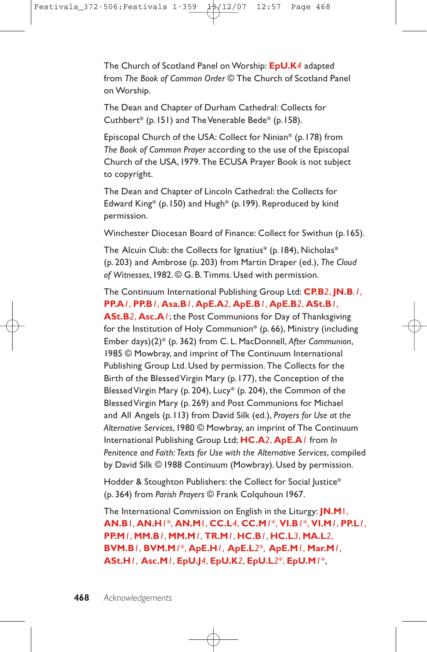The Church of Scotland Panel on Worship: **EpU.K***4* adapted from *The Book of Common Order* © The Church of Scotland Panel on Worship.

The Dean and Chapter of Durham Cathedral: Collects for Cuthbert\* (p.151) and TheVenerable Bede\* (p.158).

Episcopal Church of the USA: Collect for Ninian\* (p.178) from *The Book of Common Prayer* according to the use of the Episcopal Church of the USA,1979.The ECUSA Prayer Book is not subject to copyright.

The Dean and Chapter of Lincoln Cathedral: the Collects for Edward King\* (p.150) and Hugh\* (p.199). Reproduced by kind permission.

Winchester Diocesan Board of Finance: Collect for Swithun (p.165).

The Alcuin Club: the Collects for Ignatius\* (p.184), Nicholas\* (p. 203) and Ambrose (p. 203) from Martin Draper (ed.), *The Cloud of Witnesses*,1982. © G. B.Timms. Used with permission.

The Continuum International Publishing Group Ltd: **CP.B***2*, **JN.B**.*1*, **PP.A***1*, **PP.B***1*, **Asa.B***1*, **ApE.A***2*, **ApE.B***1*, **ApE.B***2*, **ASt.B***1*,

**ASt.B***2*, **Asc.A***1*; the Post Communions for Day of Thanksgiving for the Institution of Holy Communion\* (p. 66), Ministry (including Ember days)(2)\* (p. 362) from C. L. MacDonnell, *After Communion*, 1985 © Mowbray, and imprint of The Continuum International Publishing Group Ltd. Used by permission.The Collects for the Birth of the Blessed Virgin Mary (p.177), the Conception of the BlessedVirgin Mary (p. 204), Lucy\* (p. 204), the Common of the BlessedVirgin Mary (p. 269) and Post Communions for Michael and All Angels (p.113) from David Silk (ed.), *Prayers for Use at the Alternative Services*,1980 © Mowbray, an imprint of The Continuum International Publishing Group Ltd; **HC.A***2*, **ApE.A***1* from *In Penitence and Faith: Texts for Use with the Alternative Services*, compiled by David Silk © 1988 Continuum (Mowbray). Used by permission.

Hodder & Stoughton Publishers: the Collect for Social Justice\* (p. 364) from *Parish Prayers* © Frank Colquhoun 1967.

The International Commission on English in the Liturgy: **JN.M**1, **AN.B**1, **AN.H***1*\*, **AN.M**1, **CC.L***4*, **CC.M***1*\*, **VI.B***1*\*, **VI.M***1*, **PP.L***1*, **PP.M***1*, **MM.B***1*, **MM.M***1*, **TR.M***1*, **HC.B***1*, **HC.L***3*, **MA.L***2*, **BVM.B***1*, **BVM.M***1*\*, **ApE.H***1*, **ApE.L***2*\*, **ApE.M***1*, **Mar.M***1*, **ASt.H***1*, **Asc.M***1*, **EpU.J***4*, **EpU.K***2*, **EpU.L***2*\*, **EpU.M***1*\*,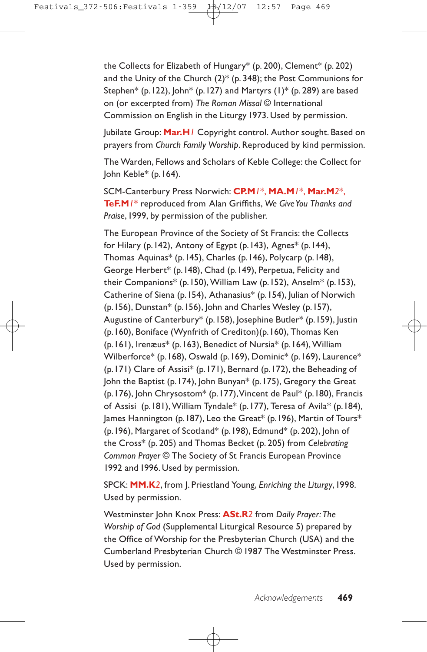the Collects for Elizabeth of Hungary\* (p. 200), Clement\* (p. 202) and the Unity of the Church (2)\* (p. 348); the Post Communions for Stephen\* (p.122), John\* (p.127) and Martyrs (1)\* (p.289) are based on (or excerpted from) *The Roman Missal* © International Commission on English in the Liturgy 1973. Used by permission.

Jubilate Group: **Mar.H***1* Copyright control. Author sought. Based on prayers from *Church Family Worship*. Reproduced by kind permission.

The Warden, Fellows and Scholars of Keble College: the Collect for John Keble\* (p.164).

SCM-Canterbury Press Norwich: **CP.M***1*\*, **MA.M***1*\*, **Mar.M***2*\*, **TeF.M***1*\* reproduced from Alan Griffiths, *We GiveYou Thanks and Praise*,1999, by permission of the publisher.

The European Province of the Society of St Francis: the Collects for Hilary (p.142), Antony of Egypt (p.143), Agnes\* (p.144), Thomas Aquinas\* (p.145), Charles (p.146), Polycarp (p.148), George Herbert\* (p.148), Chad (p.149), Perpetua, Felicity and their Companions\* (p.150),William Law (p.152), Anselm\* (p.153), Catherine of Siena (p.154), Athanasius\* (p.154), Julian of Norwich (p.156), Dunstan\* (p.156), John and Charles Wesley (p.157), Augustine of Canterbury\* (p.158), Josephine Butler\* (p.159), Justin (p.160), Boniface (Wynfrith of Crediton)(p.160), Thomas Ken  $(p.161)$ , Irenæus\* (p.163), Benedict of Nursia\* (p.164), William Wilberforce\* (p.168), Oswald (p.169), Dominic\* (p.169), Laurence\* (p.171) Clare of Assisi\* (p.171), Bernard (p.172), the Beheading of John the Baptist (p.174), John Bunyan\* (p.175), Gregory the Great (p.176), John Chrysostom\* (p.177),Vincent de Paul\* (p.180), Francis of Assisi (p.181),William Tyndale\* (p.177), Teresa of Avila\* (p.184), James Hannington (p.187), Leo the Great\* (p.196), Martin of Tours\* (p.196), Margaret of Scotland\* (p.198), Edmund\* (p. 202), John of the Cross\* (p. 205) and Thomas Becket (p. 205) from *Celebrating Common Prayer* © The Society of St Francis European Province 1992 and 1996. Used by permission.

SPCK: **MM.K***2*, from J. Priestland Young, *Enriching the Liturgy*,1998. Used by permission.

Westminster John Knox Press: **ASt.R***2* from *Daily Prayer: The Worship of God* (Supplemental Liturgical Resource 5) prepared by the Office of Worship for the Presbyterian Church (USA) and the Cumberland Presbyterian Church © 1987 The Westminster Press. Used by permission.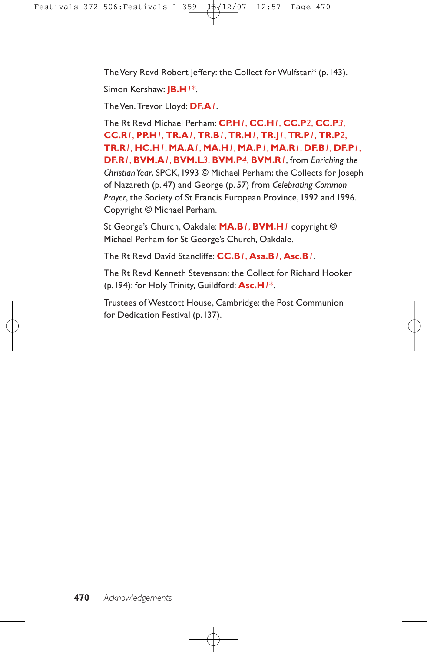The Very Revd Robert Jeffery: the Collect for Wulfstan\* (p. 143).

Simon Kershaw: **JB.H***1*\*.

TheVen.Trevor Lloyd: **DF.A***1*.

The Rt Revd Michael Perham: **CP.H***1*, **CC.H***1*, **CC.P***2*, **CC.P***3*, **CC.R***1*, **PP.H***1*, **TR.A***1*, **TR.B***1*, **TR.H***1*, **TR.J***1*, **TR.P***1*, **TR.P***2*, **TR.R***1*, **HC.H***1*, **MA.A***1*, **MA.H***1*, **MA.P***1*, **MA.R***1*, **DF.B***1*, **DF.P***1*, **DF.R***1*, **BVM.A***1*, **BVM.L***3*, **BVM.P***4*, **BVM.R***1*, from *Enriching the ChristianYear*, SPCK, 1993 © Michael Perham; the Collects for Joseph of Nazareth (p. 47) and George (p. 57) from *Celebrating Common Prayer*, the Society of St Francis European Province,1992 and 1996. Copyright © Michael Perham.

St George's Church, Oakdale: **MA.B***1*, **BVM.H***1* copyright © Michael Perham for St George's Church, Oakdale.

The Rt Revd David Stancliffe: **CC.B***1*, **Asa.B***1*, **Asc.B***1*.

The Rt Revd Kenneth Stevenson: the Collect for Richard Hooker (p.194); for Holy Trinity, Guildford: **Asc.H***1*\*.

Trustees of Westcott House, Cambridge: the Post Communion for Dedication Festival (p.137).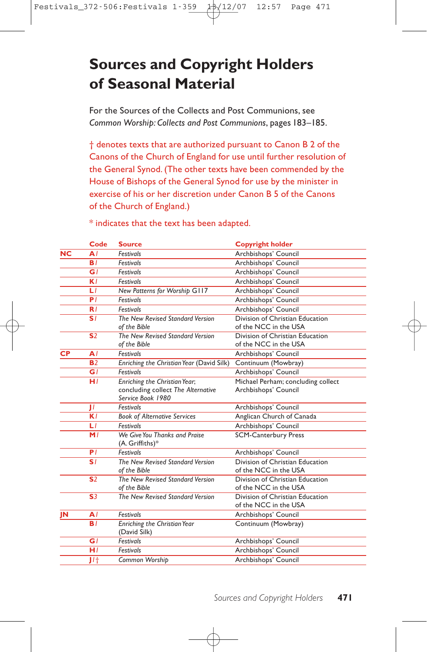# **Sources and Copyright Holders of Seasonal Material**

For the Sources of the Collects and Post Communions, see *Common Worship: Collects and Post Communions*, pages 183–185.

† denotes texts that are authorized pursuant to Canon B 2 of the Canons of the Church of England for use until further resolution of the General Synod. (The other texts have been commended by the House of Bishops of the General Synod for use by the minister in exercise of his or her discretion under Canon B 5 of the Canons of the Church of England.)

\* indicates that the text has been adapted.

|           | Code           | <b>Source</b>                                           | <b>Copyright holder</b>                                  |
|-----------|----------------|---------------------------------------------------------|----------------------------------------------------------|
| <b>NC</b> | ΔI             | Festivals                                               | Archbishops' Council                                     |
|           | BI             | <b>Festivals</b>                                        | Archbishops' Council                                     |
|           | G I            | Festivals                                               | Archbishops' Council                                     |
|           | K I            | Festivals                                               | Archbishops' Council                                     |
|           | LI             | New Patterns for Worship G117                           | Archbishops' Council                                     |
|           | P I            | Festivals                                               | Archbishops' Council                                     |
|           | R/             | Festivals                                               | Archbishops' Council                                     |
|           | SI.            | The New Revised Standard Version<br>of the Bible        | Division of Christian Education<br>of the NCC in the USA |
|           | S <sub>2</sub> | The New Revised Standard Version<br>of the Bible        | Division of Christian Education<br>of the NCC in the USA |
| <b>CP</b> | ΑI             | Festivals                                               | Archbishops' Council                                     |
|           | <b>B2</b>      | Enriching the Christian Year (David Silk)               | Continuum (Mowbray)                                      |
|           | G I            | Festivals                                               | Archbishops' Council                                     |
|           | нı             | Enriching the Christian Year;                           | Michael Perham; concluding collect                       |
|           |                | concluding collect The Alternative<br>Service Book 1980 | Archbishops' Council                                     |
|           | П              | Festivals                                               | Archbishops' Council                                     |
|           | K I            | <b>Book of Alternative Services</b>                     | Anglican Church of Canada                                |
|           | LI             | <b>Festivals</b>                                        | Archbishops' Council                                     |
|           | МI             | We Give You Thanks and Praise<br>$(A.$ Griffiths)*      | <b>SCM-Canterbury Press</b>                              |
|           | P <sub>1</sub> | <b>Festivals</b>                                        | Archbishops' Council                                     |
|           | S I            | The New Revised Standard Version<br>of the Bible        | Division of Christian Education<br>of the NCC in the USA |
|           | S <sub>2</sub> | The New Revised Standard Version<br>of the Bible        | Division of Christian Education<br>of the NCC in the USA |
|           | S <sub>3</sub> | The New Revised Standard Version                        | Division of Christian Education<br>of the NCC in the USA |
| JΝ        | $\mathbf{A}$   | Festivals                                               | Archbishops' Council                                     |
|           | BI             | Enriching the Christian Year<br>(David Silk)            | Continuum (Mowbray)                                      |
|           | G I            | Festivals                                               | Archbishops' Council                                     |
|           | нı             | Festivals                                               | Archbishops' Council                                     |
|           | JI+            | Common Worship                                          | Archbishops' Council                                     |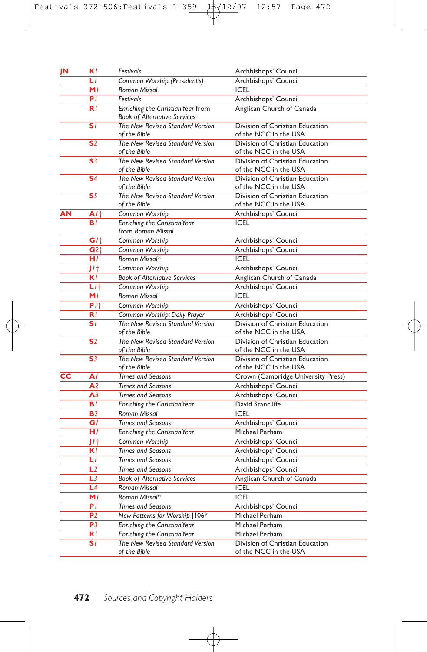| JΝ | K l                       | <b>Festivals</b>                                                         | Archbishops' Council                                     |
|----|---------------------------|--------------------------------------------------------------------------|----------------------------------------------------------|
|    | LГ                        | Common Worship (President's)                                             | Archbishops' Council                                     |
|    | M/                        | <b>Roman Missal</b>                                                      | <b>ICEL</b>                                              |
|    | P <sub>1</sub>            | <b>Festivals</b>                                                         | Archbishops' Council                                     |
|    | R/                        | Enriching the Christian Year from<br><b>Book of Alternative Services</b> | Anglican Church of Canada                                |
|    | S1                        | The New Revised Standard Version                                         | Division of Christian Education                          |
|    |                           | of the Bible                                                             | of the NCC in the USA                                    |
|    | S <sub>2</sub>            | The New Revised Standard Version<br>of the Bible                         | Division of Christian Education<br>of the NCC in the USA |
|    | $\overline{\mathbf{S}^2}$ | The New Revised Standard Version<br>of the Bible                         | Division of Christian Education<br>of the NCC in the USA |
|    | S <sub>4</sub>            | The New Revised Standard Version<br>of the Bible                         | Division of Christian Education<br>of the NCC in the USA |
|    | S <sub>5</sub>            | The New Revised Standard Version                                         | Division of Christian Education                          |
|    |                           | of the Bible                                                             | of the NCC in the USA                                    |
| AN | $A$ / $\dagger$           | Common Worship                                                           | Archbishops' Council                                     |
|    | B/I                       | Enriching the Christian Year<br>from Roman Missal                        | <b>ICEL</b>                                              |
|    | $GI+$                     | Common Worship                                                           | Archbishops' Council                                     |
|    | $G2+$                     | Common Worship                                                           | Archbishops' Council                                     |
|    | H                         | Roman Missal*                                                            | <b>ICEL</b>                                              |
|    | $11+$                     | Common Worship                                                           | Archbishops' Council                                     |
|    | KI.                       | <b>Book of Alternative Services</b>                                      | Anglican Church of Canada                                |
|    | $L$ / $\dagger$           | Common Worship                                                           | Archbishops' Council                                     |
|    | M/                        | Roman Missal                                                             | <b>ICEL</b>                                              |
|    | $P$ / $\dagger$           | Common Worship                                                           | Archbishops' Council                                     |
|    | R/                        | Common Worship: Daily Prayer                                             | Archbishops' Council                                     |
|    | S1                        | The New Revised Standard Version                                         | Division of Christian Education                          |
|    |                           | of the Bible                                                             | of the NCC in the USA                                    |
|    | <b>S2</b>                 | The New Revised Standard Version                                         | Division of Christian Education                          |
|    |                           | of the Bible                                                             | of the NCC in the USA                                    |
|    | S <sub>3</sub>            | The New Revised Standard Version<br>of the Bible                         | Division of Christian Education<br>of the NCC in the USA |
| cc | ΑI                        | <b>Times and Seasons</b>                                                 | Crown (Cambridge University Press)                       |
|    | A <sub>2</sub>            | <b>Times and Seasons</b>                                                 | Archbishops' Council                                     |
|    | A <sub>3</sub>            | <b>Times and Seasons</b>                                                 | Archbishops' Council                                     |
|    | B/                        | Enriching the Christian Year                                             | David Stancliffe                                         |
|    | <b>B2</b>                 | <b>Roman Missal</b>                                                      | <b>ICEL</b>                                              |
|    | $\overline{\mathbf{G}}$   | <b>Times and Seasons</b>                                                 | Archbishops' Council                                     |
|    | HI                        | Enriching the Christian Year                                             | Michael Perham                                           |
|    | $11+$                     | Common Worship                                                           | Archbishops' Council                                     |
|    | K1                        | <b>Times and Seasons</b>                                                 | Archbishops' Council                                     |
|    | LI                        | <b>Times and Seasons</b>                                                 | Archbishops' Council                                     |
|    | L2                        | <b>Times and Seasons</b>                                                 | Archbishops' Council                                     |
|    | L <sub>3</sub>            | <b>Book of Alternative Services</b>                                      | Anglican Church of Canada                                |
|    | L4                        | <b>Roman Missal</b>                                                      | <b>ICEL</b>                                              |
|    | M/                        | Roman Missal*                                                            | <b>ICEL</b>                                              |
|    | P <sub>1</sub>            | <b>Times and Seasons</b>                                                 | Archbishops' Council                                     |
|    | P <sub>2</sub>            | New Patterns for Worship J106*                                           | Michael Perham                                           |
|    | P <sub>3</sub>            | Enriching the Christian Year                                             | Michael Perham                                           |
|    | R/                        | Enriching the Christian Year                                             | Michael Perham                                           |
|    | S1                        | The New Revised Standard Version                                         | Division of Christian Education                          |
|    |                           | of the Bible                                                             | of the NCC in the USA                                    |

F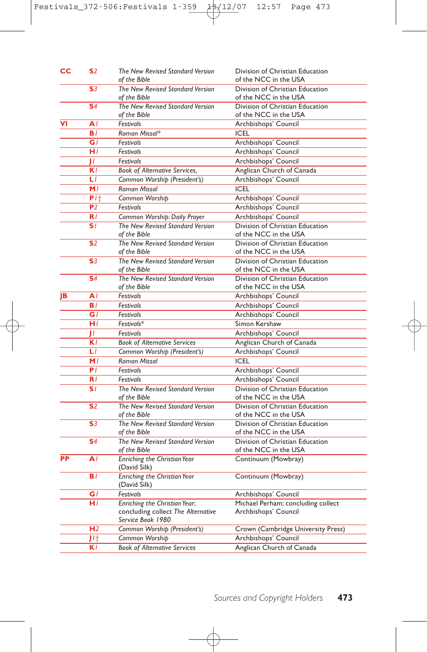| cс | S <sub>2</sub> | The New Revised Standard Version<br>of the Bible                                         | Division of Christian Education<br>of the NCC in the USA   |
|----|----------------|------------------------------------------------------------------------------------------|------------------------------------------------------------|
|    | S <sub>3</sub> | The New Revised Standard Version<br>of the Bible                                         | Division of Christian Education<br>of the NCC in the USA   |
|    | S <sub>4</sub> | The New Revised Standard Version<br>of the Bible                                         | Division of Christian Education<br>of the NCC in the USA   |
| ٧I | AI             | Festivals                                                                                | Archbishops' Council                                       |
|    | BI             | Roman Missal*                                                                            | <b>ICEL</b>                                                |
|    | G I            | Festivals                                                                                | Archbishops' Council                                       |
|    | HI.            | <b>Festivals</b>                                                                         | Archbishops' Council                                       |
|    | П              | Festivals                                                                                | Archbishops' Council                                       |
|    | K I            | Book of Alternative Services,                                                            | Anglican Church of Canada                                  |
|    | LТ             | Common Worship (President's)                                                             | Archbishops' Council                                       |
|    | M/             | Roman Missal                                                                             | <b>ICEL</b>                                                |
|    | $P1+$          | Common Worship                                                                           | Archbishops' Council                                       |
|    | P <sub>2</sub> | Festivals                                                                                | Archbishops' Council                                       |
|    | R/             | Common Worship: Daily Prayer                                                             | Archbishops' Council                                       |
|    | S1             | The New Revised Standard Version                                                         | Division of Christian Education                            |
|    |                | of the Bible                                                                             | of the NCC in the USA                                      |
|    | S <sub>2</sub> | The New Revised Standard Version                                                         | Division of Christian Education                            |
|    |                | of the Bible                                                                             | of the NCC in the USA                                      |
|    | S <sub>3</sub> | The New Revised Standard Version<br>of the Bible                                         | Division of Christian Education<br>of the NCC in the USA   |
|    | S <sub>4</sub> | The New Revised Standard Version<br>of the Bible                                         | Division of Christian Education<br>of the NCC in the USA   |
| JB | AI             | <b>Festivals</b>                                                                         | Archbishops' Council                                       |
|    | BI.            | <b>Festivals</b>                                                                         | Archbishops' Council                                       |
|    | GI             | <b>Festivals</b>                                                                         | Archbishops' Council                                       |
|    | нı             | Festivals*                                                                               | Simon Kershaw                                              |
|    | П              | <b>Festivals</b>                                                                         | Archbishops' Council                                       |
|    | K1             | <b>Book of Alternative Services</b>                                                      | Anglican Church of Canada                                  |
|    | LI             | Common Worship (President's)                                                             | Archbishops' Council                                       |
|    | M/             | <b>Roman Missal</b>                                                                      | <b>ICEL</b>                                                |
|    | P1             | Festivals                                                                                | Archbishops' Council                                       |
|    | R/             | <b>Festivals</b>                                                                         | Archbishops' Council                                       |
|    | SI.            | The New Revised Standard Version                                                         | Division of Christian Education                            |
|    |                | of the Bible                                                                             | of the NCC in the USA                                      |
|    | S <sub>2</sub> | The New Revised Standard Version                                                         | Division of Christian Education                            |
|    |                | of the Bible                                                                             | of the NCC in the USA                                      |
|    | S <sub>3</sub> | The New Revised Standard Version<br>of the Bible                                         | Division of Christian Education<br>of the NCC in the USA   |
|    | S <sub>4</sub> | The New Revised Standard Version<br>of the Bible                                         | Division of Christian Education<br>of the NCC in the USA   |
| РP | AI             | Enriching the Christian Year<br>(David Silk)                                             | Continuum (Mowbray)                                        |
|    | BI.            | Enriching the Christian Year<br>(David Silk)                                             | Continuum (Mowbray)                                        |
|    | G I            | <b>Festivals</b>                                                                         | Archbishops' Council                                       |
|    | HI             | Enriching the Christian Year;<br>concluding collect The Alternative<br>Service Book 1980 | Michael Perham; concluding collect<br>Archbishops' Council |
|    | H <sub>2</sub> | Common Worship (President's)                                                             | Crown (Cambridge University Press)                         |
|    | $11+$          | Common Worship                                                                           | Archbishops' Council                                       |
|    | K I            | <b>Book of Alternative Services</b>                                                      | Anglican Church of Canada                                  |

Œ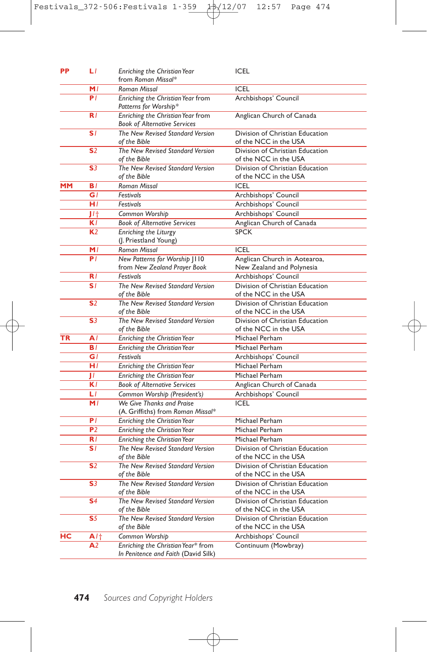| <b>PP</b> | LI             | Enriching the Christian Year<br>from Roman Missal*                        | <b>ICEL</b>                                              |
|-----------|----------------|---------------------------------------------------------------------------|----------------------------------------------------------|
|           | M/             | <b>Roman Missal</b>                                                       | <b>ICEL</b>                                              |
|           | P1             | Enriching the Christian Year from<br>Patterns for Worship*                | Archbishops' Council                                     |
|           | R/             | Enriching the Christian Year from<br><b>Book of Alternative Services</b>  | Anglican Church of Canada                                |
|           | S1             | The New Revised Standard Version<br>of the Bible                          | Division of Christian Education<br>of the NCC in the USA |
|           | S <sub>2</sub> | The New Revised Standard Version<br>of the Bible                          | Division of Christian Education<br>of the NCC in the USA |
|           | S <sub>3</sub> | The New Revised Standard Version<br>of the Bible                          | Division of Christian Education<br>of the NCC in the USA |
| MM        | BI             | <b>Roman Missal</b>                                                       | <b>ICEL</b>                                              |
|           | GI             | Festivals                                                                 | Archbishops' Council                                     |
|           | HI.            | Festivals                                                                 | Archbishops' Council                                     |
|           | $11+$          | Common Worship                                                            | Archbishops' Council                                     |
|           | K I            | <b>Book of Alternative Services</b>                                       | Anglican Church of Canada                                |
|           | <b>K2</b>      | <b>Enriching the Liturgy</b><br>(J. Priestland Young)                     | <b>SPCK</b>                                              |
|           | M/             | <b>Roman Missal</b>                                                       | <b>ICEL</b>                                              |
|           | P <sub>I</sub> | New Patterns for Worship       0                                          | Anglican Church in Aotearoa,                             |
|           |                | from New Zealand Prayer Book                                              | New Zealand and Polynesia                                |
|           | R I            | Festivals                                                                 | Archbishops' Council                                     |
|           | S1             | The New Revised Standard Version<br>of the Bible                          | Division of Christian Education<br>of the NCC in the USA |
|           | S <sub>2</sub> | The New Revised Standard Version<br>of the Bible                          | Division of Christian Education<br>of the NCC in the USA |
|           | S <sub>3</sub> | The New Revised Standard Version<br>of the Bible                          | Division of Christian Education<br>of the NCC in the USA |
| ΤR        | A۱             | Enriching the Christian Year                                              | Michael Perham                                           |
|           | B/             | <b>Enriching the Christian Year</b>                                       | Michael Perham                                           |
|           | G I            | Festivals                                                                 | Archbishops' Council                                     |
|           | HI.            | Enriching the Christian Year                                              | Michael Perham                                           |
|           | П              | Enriching the Christian Year                                              | Michael Perham                                           |
|           | K1             | <b>Book of Alternative Services</b>                                       | Anglican Church of Canada                                |
|           | LI             | Common Worship (President's)                                              | Archbishops' Council                                     |
|           | M/             | We Give Thanks and Praise<br>(A. Griffiths) from Roman Missal*            | ICFL                                                     |
|           | PI.            | Enriching the Christian Year                                              | Michael Perham                                           |
|           | P <sub>2</sub> | Enriching the Christian Year                                              | Michael Perham                                           |
|           | R/             | <b>Enriching the Christian Year</b>                                       | Michael Perham                                           |
|           | S1             | The New Revised Standard Version<br>of the Bible                          | Division of Christian Education<br>of the NCC in the USA |
|           | S <sub>2</sub> | The New Revised Standard Version<br>of the Bible                          | Division of Christian Education<br>of the NCC in the USA |
|           | S <sub>3</sub> | The New Revised Standard Version<br>of the Bible                          | Division of Christian Education<br>of the NCC in the USA |
|           | S <sub>4</sub> | The New Revised Standard Version<br>of the Bible                          | Division of Christian Education<br>of the NCC in the USA |
|           | S <sub>5</sub> | The New Revised Standard Version<br>of the Bible                          | Division of Christian Education<br>of the NCC in the USA |
| HС        | A/t            | Common Worship                                                            | Archbishops' Council                                     |
|           | A <sub>2</sub> | Enriching the Christian Year* from<br>In Penitence and Faith (David Silk) | Continuum (Mowbray)                                      |

F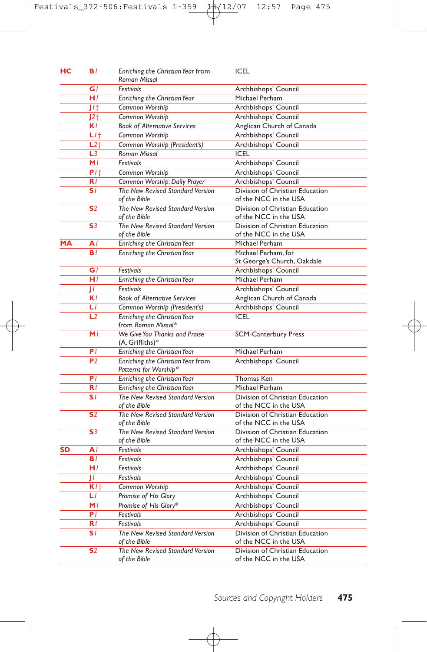| HС | B/                | Enriching the Christian Year from<br><b>Roman Missal</b>   | ICEL                                                     |
|----|-------------------|------------------------------------------------------------|----------------------------------------------------------|
|    | GI                | <b>Festivals</b>                                           | Archbishops' Council                                     |
|    | H                 | <b>Enriching the Christian Year</b>                        | Michael Perham                                           |
|    | $11+$             | Common Worship                                             | Archbishops' Council                                     |
|    | $12+$             | Common Worship                                             | Archbishops' Council                                     |
|    | KI.               | <b>Book of Alternative Services</b>                        | Anglican Church of Canada                                |
|    | $L$ / $\dagger$   | Common Worship                                             | Archbishops' Council                                     |
|    | $L2+$             | Common Worship (President's)                               | Archbishops' Council                                     |
|    | L3                | Roman Missal                                               | <b>ICEL</b>                                              |
|    | M/                | Festivals                                                  | Archbishops' Council                                     |
|    | $P1+$             | Common Worship                                             | Archbishops' Council                                     |
|    | R/I               | Common Worship: Daily Prayer                               | Archbishops' Council                                     |
|    | S1                | The New Revised Standard Version                           | Division of Christian Education                          |
|    |                   | of the Bible                                               | of the NCC in the USA                                    |
|    | S <sub>2</sub>    | The New Revised Standard Version                           | Division of Christian Education                          |
|    |                   | of the Bible                                               | of the NCC in the USA                                    |
|    | S <sub>3</sub>    | The New Revised Standard Version                           | Division of Christian Education                          |
|    |                   | of the Bible                                               | of the NCC in the USA                                    |
| MA | A                 | Enriching the Christian Year                               | Michael Perham                                           |
|    | B/                | Enriching the Christian Year                               | Michael Perham, for                                      |
|    |                   |                                                            | St George's Church, Oakdale                              |
|    | G/                | Festivals                                                  | Archbishops' Council                                     |
|    | HI                | Enriching the Christian Year                               | Michael Perham                                           |
|    | П                 | Festivals                                                  | Archbishops' Council                                     |
|    | K I               | <b>Book of Alternative Services</b>                        | Anglican Church of Canada                                |
|    | Ш                 | Common Worship (President's)                               | Archbishops' Council                                     |
|    | L2                | Enriching the Christian Year<br>from Roman Missal*         | <b>ICEL</b>                                              |
|    | M <sub>l</sub>    | We Give You Thanks and Praise<br>$(A.$ Griffiths)*         | <b>SCM-Canterbury Press</b>                              |
|    | PI                | Enriching the Christian Year                               | Michael Perham                                           |
|    | P <sub>2</sub>    | Enriching the Christian Year from<br>Patterns for Worship* | Archbishops' Council                                     |
|    | PI                | Enriching the Christian Year                               | Thomas Ken                                               |
|    | R/                | <b>Enriching the Christian Year</b>                        | Michael Perham                                           |
|    | SI.               | The New Revised Standard Version                           | Division of Christian Education                          |
|    |                   | of the Bible                                               | of the NCC in the USA                                    |
|    | S <sub>2</sub>    | The New Revised Standard Version<br>of the Bible           | Division of Christian Education<br>of the NCC in the USA |
|    | S <sub>3</sub>    | The New Revised Standard Version<br>of the Bible           | Division of Christian Education<br>of the NCC in the USA |
| SD | AI                | Festivals                                                  | Archbishops' Council                                     |
|    | B/                | <b>Festivals</b>                                           | Archbishops' Council                                     |
|    | HI                | Festivals                                                  | Archbishops' Council                                     |
|    | П                 | <b>Festivals</b>                                           | Archbishops' Council                                     |
|    | $K1$ <sup>+</sup> | Common Worship                                             | Archbishops' Council                                     |
|    | LТ                | Promise of His Glory                                       | Archbishops' Council                                     |
|    | M/                | Promise of His Glory*                                      | Archbishops' Council                                     |
|    | P <sub>1</sub>    | Festivals                                                  | Archbishops' Council                                     |
|    | R/                | Festivals                                                  | Archbishops' Council                                     |
|    | SI.               | The New Revised Standard Version                           | Division of Christian Education                          |
|    |                   | of the Bible                                               | of the NCC in the USA                                    |
|    | S <sub>2</sub>    | The New Revised Standard Version                           | Division of Christian Education                          |
|    |                   | of the Bible                                               | of the NCC in the USA                                    |

Œ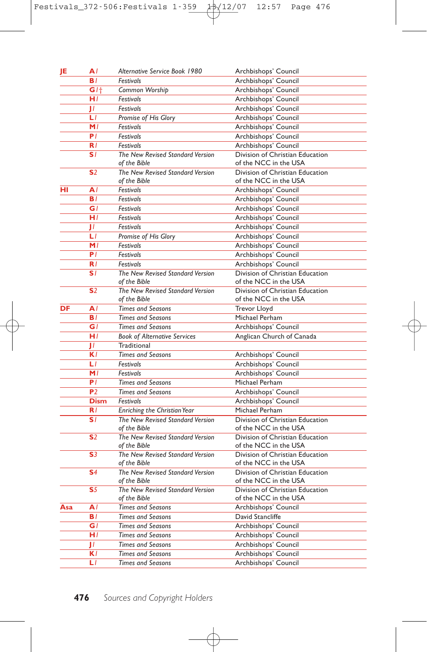| JE  | A <sub>l</sub>           | Alternative Service Book 1980                    | Archbishops' Council                                     |
|-----|--------------------------|--------------------------------------------------|----------------------------------------------------------|
|     | BI                       | Festivals                                        | Archbishops' Council                                     |
|     | $GI+$                    | Common Worship                                   | Archbishops' Council                                     |
|     | HI                       | Festivals                                        | Archbishops' Council                                     |
|     | П                        | Festivals                                        | Archbishops' Council                                     |
|     | LГ                       | Promise of His Glory                             | Archbishops' Council                                     |
|     | M/                       | Festivals                                        | Archbishops' Council                                     |
|     | P <sub>1</sub>           | Festivals                                        | Archbishops' Council                                     |
|     | R/                       | Festivals                                        | Archbishops' Council                                     |
|     | S1                       | The New Revised Standard Version                 | Division of Christian Education                          |
|     |                          | of the Bible                                     | of the NCC in the USA                                    |
|     | S <sub>2</sub>           | The New Revised Standard Version                 | Division of Christian Education                          |
|     |                          | of the Bible                                     | of the NCC in the USA                                    |
| нг  | A <sub>l</sub>           | <b>Festivals</b>                                 | Archbishops' Council                                     |
|     | B/                       | Festivals                                        | Archbishops' Council                                     |
|     | G/                       | Festivals                                        | Archbishops' Council                                     |
|     | HI.                      | Festivals                                        | Archbishops' Council                                     |
|     | П                        | Festivals                                        | Archbishops' Council                                     |
|     | LI                       | Promise of His Glory                             | Archbishops' Council                                     |
|     | M/                       | Festivals                                        | Archbishops' Council                                     |
|     | P <sub>1</sub>           | Festivals                                        | Archbishops' Council                                     |
|     | R/                       | Festivals                                        | Archbishops' Council                                     |
|     | S1                       | The New Revised Standard Version                 | Division of Christian Education                          |
|     |                          | of the Bible                                     | of the NCC in the USA                                    |
|     | S <sub>2</sub>           | The New Revised Standard Version                 | Division of Christian Education                          |
|     |                          | of the Bible                                     | of the NCC in the USA                                    |
| DF  | AI                       | <b>Times and Seasons</b>                         | <b>Trevor Lloyd</b>                                      |
|     | B/                       | <b>Times and Seasons</b>                         | Michael Perham                                           |
|     | GI                       | <b>Times and Seasons</b>                         | Archbishops' Council                                     |
|     | HI                       | <b>Book of Alternative Services</b>              | Anglican Church of Canada                                |
|     | П                        | Traditional                                      |                                                          |
|     | K l                      | <b>Times and Seasons</b>                         | Archbishops' Council                                     |
|     | $\overline{\mathsf{L}I}$ | Festivals                                        | Archbishops' Council                                     |
|     | M/                       | Festivals                                        | Archbishops' Council                                     |
|     | P <sub>1</sub>           | <b>Times and Seasons</b>                         | Michael Perham                                           |
|     | P <sub>2</sub>           | <b>Times and Seasons</b>                         | Archbishops' Council                                     |
|     | <b>Dism</b>              | Festivals                                        | Archbishops' Council                                     |
|     | R/                       | Enriching the Christian Year                     | Michael Perham                                           |
|     | S1                       | The New Revised Standard Version                 | Division of Christian Education                          |
|     |                          | of the Bible                                     | of the NCC in the USA                                    |
|     | S <sub>2</sub>           | The New Revised Standard Version<br>of the Bible | Division of Christian Education<br>of the NCC in the USA |
|     | S <sub>3</sub>           | The New Revised Standard Version                 | Division of Christian Education                          |
|     |                          | of the Bible                                     | of the NCC in the USA                                    |
|     | S <sub>4</sub>           | The New Revised Standard Version                 | Division of Christian Education                          |
|     |                          | of the Bible                                     | of the NCC in the USA                                    |
|     | S <sub>5</sub>           | The New Revised Standard Version                 | Division of Christian Education                          |
|     |                          | of the Bible                                     | of the NCC in the USA                                    |
| Asa | AI                       | <b>Times and Seasons</b>                         | Archbishops' Council                                     |
|     | BI                       | <b>Times and Seasons</b>                         | David Stancliffe                                         |
|     | G I                      | <b>Times and Seasons</b>                         | Archbishops' Council                                     |
|     | HI                       | <b>Times and Seasons</b>                         | Archbishops' Council                                     |
|     | П                        | <b>Times and Seasons</b>                         | Archbishops' Council                                     |
|     | K1                       | <b>Times and Seasons</b>                         | Archbishops' Council                                     |
|     | LI                       | <b>Times and Seasons</b>                         | Archbishops' Council                                     |

F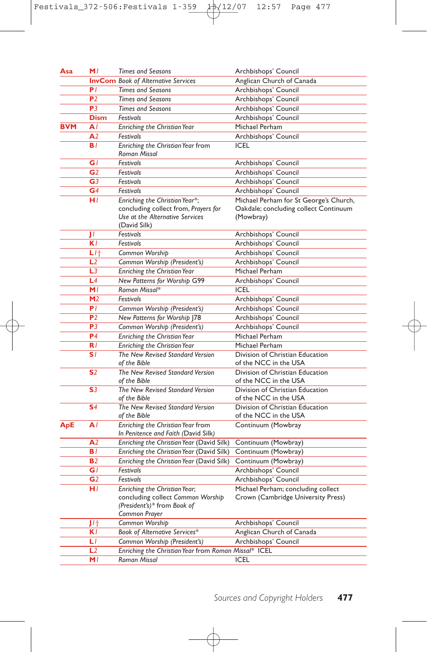| Asa        | M/             | <b>Times and Seasons</b>                                                                          | Archbishops' Council                                                     |
|------------|----------------|---------------------------------------------------------------------------------------------------|--------------------------------------------------------------------------|
|            |                | <b>InvCom</b> Book of Alternative Services                                                        | Anglican Church of Canada                                                |
|            | PI.            | <b>Times and Seasons</b>                                                                          | Archbishops' Council                                                     |
|            | P <sub>2</sub> | <b>Times and Seasons</b>                                                                          | Archbishops' Council                                                     |
|            | P <sub>3</sub> | <b>Times and Seasons</b>                                                                          | Archbishops' Council                                                     |
|            | <b>Dism</b>    | Festivals                                                                                         | Archbishops' Council                                                     |
| <b>BVM</b> | AI             | Enriching the Christian Year                                                                      | Michael Perham                                                           |
|            | A <sub>2</sub> | Festivals                                                                                         | Archbishops' Council                                                     |
|            | B/             | Enriching the Christian Year from                                                                 | <b>ICEL</b>                                                              |
|            |                | Roman Missal                                                                                      |                                                                          |
|            | GI             | Festivals                                                                                         | Archbishops' Council                                                     |
|            | G <sub>2</sub> | Festivals                                                                                         | Archbishops' Council                                                     |
|            | G <sub>3</sub> | Festivals                                                                                         | Archbishops' Council                                                     |
|            | G4             | Festivals                                                                                         | Archbishops' Council                                                     |
|            | HI.            | Enriching the Christian Year*;                                                                    | Michael Perham for St George's Church,                                   |
|            |                | concluding collect from, Prayers for                                                              | Oakdale; concluding collect Continuum                                    |
|            |                | Use at the Alternative Services                                                                   | (Mowbray)                                                                |
|            |                | (David Silk)                                                                                      |                                                                          |
|            | П              | Festivals                                                                                         | Archbishops' Council                                                     |
|            | K I            | Festivals                                                                                         | Archbishops' Council                                                     |
|            | L/t            | Common Worship                                                                                    | Archbishops' Council                                                     |
|            | L2             | Common Worship (President's)                                                                      | Archbishops' Council                                                     |
|            | L3             | <b>Enriching the Christian Year</b>                                                               | Michael Perham                                                           |
|            | L4             | New Patterns for Worship G99                                                                      | Archbishops' Council                                                     |
|            | M/             | Roman Missal*                                                                                     | <b>ICEL</b>                                                              |
|            | M <sub>2</sub> | Festivals                                                                                         | Archbishops' Council                                                     |
|            | P <sub>I</sub> | Common Worship (President's)                                                                      | Archbishops' Council                                                     |
|            | P <sub>2</sub> | New Patterns for Worship J78                                                                      | Archbishops' Council                                                     |
|            | P <sub>3</sub> | Common Worship (President's)                                                                      | Archbishops' Council                                                     |
|            | P <sub>4</sub> | Enriching the Christian Year                                                                      | Michael Perham                                                           |
|            | R/             | Enriching the Christian Year                                                                      | Michael Perham                                                           |
|            | S1             | The New Revised Standard Version                                                                  | Division of Christian Education                                          |
|            |                | of the Bible                                                                                      | of the NCC in the USA                                                    |
|            | S <sub>2</sub> | The New Revised Standard Version<br>of the Bible                                                  | Division of Christian Education<br>of the NCC in the USA                 |
|            | $S_3$          | The New Revised Standard Version                                                                  | Division of Christian Education                                          |
|            |                | of the Bible                                                                                      | of the NCC in the USA                                                    |
|            | S <sub>4</sub> | The New Revised Standard Version                                                                  | Division of Christian Education                                          |
|            |                | of the Bible                                                                                      | of the NCC in the USA                                                    |
| ApE        | AI             | Enriching the Christian Year from<br>In Penitence and Faith (David Silk)                          | Continuum (Mowbray                                                       |
|            | A <sub>2</sub> | Enriching the Christian Year (David Silk)                                                         | Continuum (Mowbray)                                                      |
|            | BI.            | Enriching the Christian Year (David Silk)                                                         | Continuum (Mowbray)                                                      |
|            | <b>B2</b>      | Enriching the Christian Year (David Silk)                                                         | Continuum (Mowbray)                                                      |
|            | G I            | Festivals                                                                                         | Archbishops' Council                                                     |
|            | G <sub>2</sub> | Festivals                                                                                         | Archbishops' Council                                                     |
|            | HI.            | Enriching the Christian Year;<br>concluding collect Common Worship<br>(President's)* from Book of | Michael Perham; concluding collect<br>Crown (Cambridge University Press) |
|            |                | <b>Common Prayer</b>                                                                              |                                                                          |
|            | JI+            | Common Worship                                                                                    | Archbishops' Council                                                     |
|            | ΚI             | Book of Alternative Services*                                                                     | Anglican Church of Canada                                                |
|            | LI             | Common Worship (President's)                                                                      | Archbishops' Council                                                     |
|            | L2             | Enriching the Christian Year from Roman Missal* ICEL                                              |                                                                          |
|            | M/             | <b>Roman Missal</b>                                                                               | <b>ICEL</b>                                                              |

Œ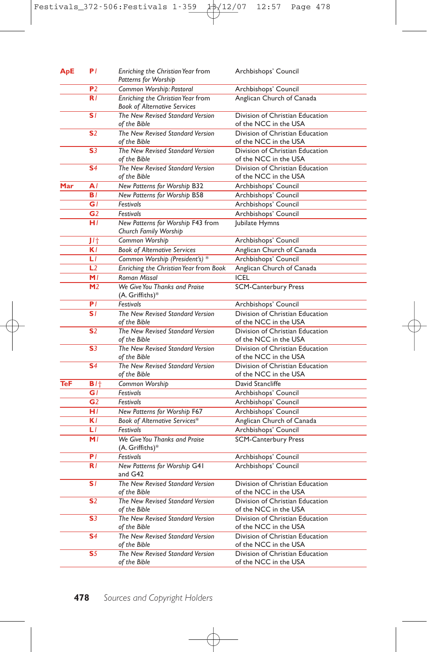| ApE | PI.                     | Enriching the Christian Year from<br>Patterns for Worship                | Archbishops' Council                                     |
|-----|-------------------------|--------------------------------------------------------------------------|----------------------------------------------------------|
|     | P <sub>2</sub>          | Common Worship: Pastoral                                                 | Archbishops' Council                                     |
|     | R1                      | Enriching the Christian Year from<br><b>Book of Alternative Services</b> | Anglican Church of Canada                                |
|     | $\overline{\mathbf{s}}$ | The New Revised Standard Version<br>of the Bible                         | Division of Christian Education<br>of the NCC in the USA |
|     | S <sub>2</sub>          | The New Revised Standard Version<br>of the Bible                         | Division of Christian Education<br>of the NCC in the USA |
|     | S <sub>3</sub>          | The New Revised Standard Version<br>of the Bible                         | Division of Christian Education<br>of the NCC in the USA |
|     | S <sub>4</sub>          | The New Revised Standard Version<br>of the Bible                         | Division of Christian Education<br>of the NCC in the USA |
| Mar | A <sub>l</sub>          | New Patterns for Worship B32                                             | Archbishops' Council                                     |
|     | BI                      | New Patterns for Worship B58                                             | Archbishops' Council                                     |
|     | G/                      | Festivals                                                                | Archbishops' Council                                     |
|     | G <sub>2</sub>          | Festivals                                                                | Archbishops' Council                                     |
|     | HI                      | New Patterns for Worship F43 from<br>Church Family Worship               | Jubilate Hymns                                           |
|     | JI+                     | Common Worship                                                           | Archbishops' Council                                     |
|     | K1                      | <b>Book of Alternative Services</b>                                      | Anglican Church of Canada                                |
|     | LГ                      | Common Worship (President's) *                                           | Archbishops' Council                                     |
|     | Ĺ2                      | Enriching the Christian Year from Book                                   | Anglican Church of Canada                                |
|     | M <sub>l</sub>          | <b>Roman Missal</b>                                                      | <b>ICEL</b>                                              |
|     | M <sub>2</sub>          | We Give You Thanks and Praise<br>(A. Griffiths)*                         | <b>SCM-Canterbury Press</b>                              |
|     | P <sub>I</sub>          | Festivals                                                                | Archbishops' Council                                     |
|     | S1                      | The New Revised Standard Version<br>of the Bible                         | Division of Christian Education<br>of the NCC in the USA |
|     | S <sub>2</sub>          | The New Revised Standard Version<br>of the Bible                         | Division of Christian Education<br>of the NCC in the USA |
|     | S <sub>3</sub>          | The New Revised Standard Version<br>of the Bible                         | Division of Christian Education<br>of the NCC in the USA |
|     | S <sub>4</sub>          | The New Revised Standard Version<br>of the Bible                         | Division of Christian Education<br>of the NCC in the USA |
| TeF | B/t                     | Common Worship                                                           | David Stancliffe                                         |
|     | G I                     | <b>Festivals</b>                                                         | Archbishops' Council                                     |
|     | G <sub>2</sub>          | <b>Festivals</b>                                                         | Archbishops' Council                                     |
|     | HI                      | New Patterns for Worship F67                                             | Archbishops' Council                                     |
|     | K I                     | Book of Alternative Services*                                            | Anglican Church of Canada                                |
|     | LΙ                      | Festivals                                                                | Archbishops' Council                                     |
|     | M/                      | We Give You Thanks and Praise<br>(A. Griffiths)*                         | <b>SCM-Canterbury Press</b>                              |
|     | P I                     | Festivals                                                                | Archbishops' Council                                     |
|     | R/                      | New Patterns for Worship G41<br>and G42                                  | Archbishops' Council                                     |
|     | S1                      | The New Revised Standard Version<br>of the Bible                         | Division of Christian Education<br>of the NCC in the USA |
|     | S <sub>2</sub>          | The New Revised Standard Version<br>of the Bible                         | Division of Christian Education<br>of the NCC in the USA |
|     | S <sub>3</sub>          | The New Revised Standard Version<br>of the Bible                         | Division of Christian Education<br>of the NCC in the USA |
|     | S <sub>4</sub>          | The New Revised Standard Version<br>of the Bible                         | Division of Christian Education<br>of the NCC in the USA |
|     | S <sub>5</sub>          | The New Revised Standard Version<br>of the Bible                         | Division of Christian Education<br>of the NCC in the USA |

F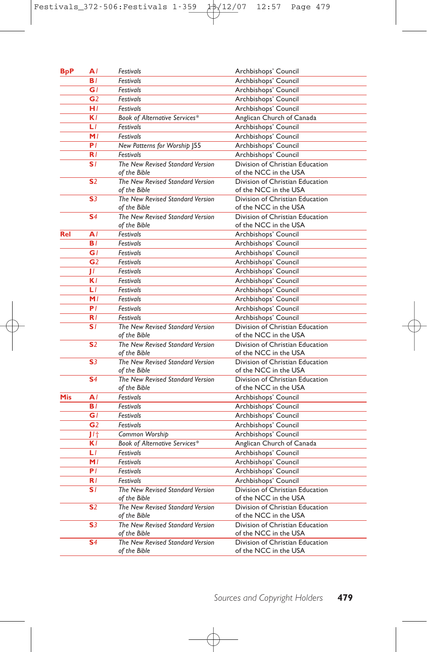| BpP | A۱                        | <b>Festivals</b>                                 | Archbishops' Council                                     |
|-----|---------------------------|--------------------------------------------------|----------------------------------------------------------|
|     | B/                        | Festivals                                        | Archbishops' Council                                     |
|     | G/I                       | Festivals                                        | Archbishops' Council                                     |
|     | G <sub>2</sub>            | Festivals                                        | Archbishops' Council                                     |
|     | нı                        | Festivals                                        | Archbishops' Council                                     |
|     | K1                        | Book of Alternative Services*                    | Anglican Church of Canada                                |
|     | LГ                        | Festivals                                        | Archbishops' Council                                     |
|     | $\overline{M}$            | Festivals                                        | Archbishops' Council                                     |
|     | P <sub>1</sub>            | New Patterns for Worship J55                     | Archbishops' Council                                     |
|     | R/                        | <b>Festivals</b>                                 | Archbishops' Council                                     |
|     | S1                        | The New Revised Standard Version                 | Division of Christian Education                          |
|     |                           | of the Bible                                     | of the NCC in the USA                                    |
|     | S <sub>2</sub>            | The New Revised Standard Version                 | Division of Christian Education                          |
|     |                           | of the Bible                                     | of the NCC in the USA                                    |
|     | S <sub>3</sub>            | The New Revised Standard Version                 | Division of Christian Education                          |
|     |                           | of the Bible                                     | of the NCC in the USA                                    |
|     | S <sub>4</sub>            | The New Revised Standard Version                 | Division of Christian Education                          |
|     |                           | of the Bible                                     | of the NCC in the USA                                    |
| Rel | A1                        | <b>Festivals</b>                                 | Archbishops' Council                                     |
|     | B/                        | Festivals                                        | Archbishops' Council                                     |
|     | G/I                       | <b>Festivals</b>                                 | Archbishops' Council                                     |
|     | G <sub>2</sub>            | Festivals                                        | Archbishops' Council                                     |
|     | П                         | <b>Festivals</b>                                 | Archbishops' Council                                     |
|     | K1                        | Festivals                                        | Archbishops' Council                                     |
|     | $\overline{\mathsf{L}^1}$ | Festivals                                        | Archbishops' Council                                     |
|     | M/                        | Festivals                                        | Archbishops' Council                                     |
|     | P1                        | Festivals                                        | Archbishops' Council                                     |
|     | R/                        | <b>Festivals</b>                                 | Archbishops' Council                                     |
|     | S I                       | The New Revised Standard Version                 | Division of Christian Education                          |
|     |                           | of the Bible                                     | of the NCC in the USA                                    |
|     | S <sub>2</sub>            | The New Revised Standard Version                 | Division of Christian Education                          |
|     |                           | of the Bible                                     | of the NCC in the USA                                    |
|     | S <sub>3</sub>            | The New Revised Standard Version                 | Division of Christian Education                          |
|     |                           | of the Bible                                     | of the NCC in the USA                                    |
|     | S <sub>4</sub>            | The New Revised Standard Version                 | Division of Christian Education                          |
|     |                           | of the Bible                                     | of the NCC in the USA                                    |
| Mis | A                         | <b>Festivals</b>                                 | Archbishops' Council                                     |
|     | B/                        | Festivals                                        | Archbishops' Council                                     |
|     | G I                       | <b>Festivals</b>                                 | Archbishops' Council                                     |
|     | G <sub>2</sub>            | Festivals                                        | Archbishops' Council                                     |
|     | $11+$                     | Common Worship                                   | Archbishops' Council                                     |
|     | KI.                       | Book of Alternative Services*                    | Anglican Church of Canada                                |
|     | Ш                         | Festivals                                        | Archbishops' Council                                     |
|     | M/                        | Festivals                                        | Archbishops' Council                                     |
|     | P <sub>1</sub>            | Festivals                                        | Archbishops' Council                                     |
|     | R I                       | <b>Festivals</b>                                 | Archbishops' Council                                     |
|     | S I                       | The New Revised Standard Version<br>of the Bible | Division of Christian Education<br>of the NCC in the USA |
|     | S <sub>2</sub>            | The New Revised Standard Version<br>of the Bible | Division of Christian Education<br>of the NCC in the USA |
|     | S <sub>3</sub>            | The New Revised Standard Version                 | Division of Christian Education                          |
|     |                           | of the Bible                                     | of the NCC in the USA                                    |
|     | S <sub>4</sub>            | The New Revised Standard Version                 | Division of Christian Education                          |
|     |                           | of the Bible                                     | of the NCC in the USA                                    |

Œ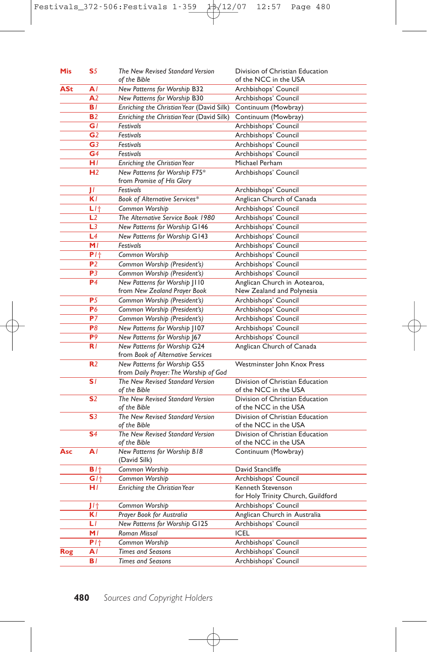| <b>Mis</b> | S <sub>5</sub>       | The New Revised Standard Version<br>of the Bible                      | Division of Christian Education<br>of the NCC in the USA |
|------------|----------------------|-----------------------------------------------------------------------|----------------------------------------------------------|
| ASt        | AI                   | New Patterns for Worship B32                                          | Archbishops' Council                                     |
|            | A <sub>2</sub>       | New Patterns for Worship B30                                          | Archbishops' Council                                     |
|            | BI                   | Enriching the Christian Year (David Silk)                             | Continuum (Mowbray)                                      |
|            | <b>B2</b>            | Enriching the Christian Year (David Silk)                             | Continuum (Mowbray)                                      |
|            | G I                  | Festivals                                                             | Archbishops' Council                                     |
|            | G <sub>2</sub>       | Festivals                                                             | Archbishops' Council                                     |
|            | G <sub>3</sub>       | Festivals                                                             | Archbishops' Council                                     |
|            | G <sub>4</sub>       | Festivals                                                             | Archbishops' Council                                     |
|            | HI.                  | Enriching the Christian Year                                          | Michael Perham                                           |
|            | H <sub>2</sub>       | New Patterns for Worship F75*                                         | Archbishops' Council                                     |
|            |                      | from Promise of His Glory                                             |                                                          |
|            | П                    | Festivals                                                             | Archbishops' Council                                     |
|            | K l                  | Book of Alternative Services*                                         | Anglican Church of Canada                                |
|            | LI†                  | Common Worship                                                        | Archbishops' Council                                     |
|            | L2                   | The Alternative Service Book 1980                                     | Archbishops' Council                                     |
|            | L3                   | New Patterns for Worship G146                                         | Archbishops' Council                                     |
|            | L4                   | New Patterns for Worship G143                                         | Archbishops' Council                                     |
|            | M/                   | Festivals                                                             | Archbishops' Council                                     |
|            | $P1+$                | Common Worship                                                        | Archbishops' Council                                     |
|            | P <sub>2</sub>       |                                                                       | Archbishops' Council                                     |
|            | P3                   | Common Worship (President's)                                          |                                                          |
|            | P <sub>4</sub>       | Common Worship (President's)<br>New Patterns for Worship       0      | Archbishops' Council<br>Anglican Church in Aotearoa,     |
|            |                      | from New Zealand Prayer Book                                          | New Zealand and Polynesia                                |
|            | P5                   |                                                                       | Archbishops' Council                                     |
|            | P6                   | Common Worship (President's)                                          |                                                          |
|            | P <sub>7</sub>       | Common Worship (President's)                                          | Archbishops' Council                                     |
|            |                      | Common Worship (President's)                                          | Archbishops' Council                                     |
|            | P <sub>8</sub><br>P9 | New Patterns for Worship   107                                        | Archbishops' Council                                     |
|            |                      | New Patterns for Worship J67                                          | Archbishops' Council                                     |
|            | R/                   | New Patterns for Worship G24<br>from Book of Alternative Services     | Anglican Church of Canada                                |
|            | R <sub>2</sub>       | New Patterns for Worship G55<br>from Daily Prayer: The Worship of God | Westminster John Knox Press                              |
|            | S1                   | The New Revised Standard Version<br>of the Bible                      | Division of Christian Education<br>of the NCC in the USA |
|            | S <sub>2</sub>       | The New Revised Standard Version                                      | Division of Christian Education                          |
|            |                      | of the Bible                                                          | of the NCC in the USA                                    |
|            | S <sub>3</sub>       | The New Revised Standard Version                                      | Division of Christian Education                          |
|            |                      | of the Bible                                                          | of the NCC in the USA                                    |
|            | S <sub>4</sub>       | The New Revised Standard Version<br>of the Bible                      | Division of Christian Education<br>of the NCC in the USA |
| Asc        | AI                   | New Patterns for Worship B18<br>(David Silk)                          | Continuum (Mowbray)                                      |
|            | B/t                  | Common Worship                                                        | David Stancliffe                                         |
|            | GI <sub>1</sub>      | Common Worship                                                        | Archbishops' Council                                     |
|            | нı                   | Enriching the Christian Year                                          | Kenneth Stevenson                                        |
|            |                      |                                                                       | for Holy Trinity Church, Guildford                       |
|            | JI†                  | Common Worship                                                        | Archbishops' Council                                     |
|            | K l                  | Prayer Book for Australia                                             | Anglican Church in Australia                             |
|            | LГ                   | New Patterns for Worship G125                                         | Archbishops' Council                                     |
|            | M/                   | <b>Roman Missal</b>                                                   | <b>ICEL</b>                                              |
|            | $P$ / $\dagger$      | Common Worship                                                        | Archbishops' Council                                     |
| Rog        | AI                   | <b>Times and Seasons</b>                                              | Archbishops' Council                                     |
|            | B/                   | <b>Times and Seasons</b>                                              | Archbishops' Council                                     |

F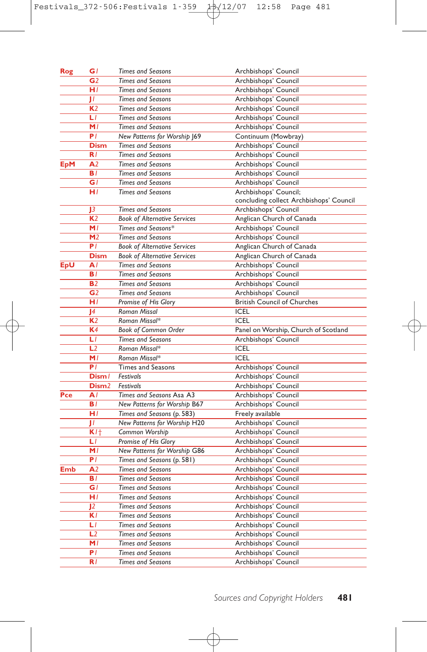| Rog        | G I               | <b>Times and Seasons</b>            | Archbishops' Council                    |
|------------|-------------------|-------------------------------------|-----------------------------------------|
|            | G <sub>2</sub>    | <b>Times and Seasons</b>            | Archbishops' Council                    |
|            | H                 | <b>Times and Seasons</b>            | Archbishops' Council                    |
|            | П                 | <b>Times and Seasons</b>            | Archbishops' Council                    |
|            | K <sub>2</sub>    | <b>Times and Seasons</b>            | Archbishops' Council                    |
|            | LI                | <b>Times and Seasons</b>            | Archbishops' Council                    |
|            | M <sub>l</sub>    | <b>Times and Seasons</b>            | Archbishops' Council                    |
|            | PI                | New Patterns for Worship J69        | Continuum (Mowbray)                     |
|            | <b>Dism</b>       | <b>Times and Seasons</b>            | Archbishops' Council                    |
|            | R/                | <b>Times and Seasons</b>            | Archbishops' Council                    |
| EpM        | A <sub>2</sub>    | <b>Times and Seasons</b>            | Archbishops' Council                    |
|            | BI                | <b>Times and Seasons</b>            | Archbishops' Council                    |
|            | G/                | <b>Times and Seasons</b>            | Archbishops' Council                    |
|            | HI.               | <b>Times and Seasons</b>            | Archbishops' Council;                   |
|            |                   |                                     | concluding collect Archbishops' Council |
|            | J3                | <b>Times and Seasons</b>            | Archbishops' Council                    |
|            | K <sub>2</sub>    | <b>Book of Alternative Services</b> | Anglican Church of Canada               |
|            | M/                | Times and Seasons*                  | Archbishops' Council                    |
|            | M <sub>2</sub>    | <b>Times and Seasons</b>            | Archbishops' Council                    |
|            | P <sub>1</sub>    | <b>Book of Alternative Services</b> | Anglican Church of Canada               |
|            | <b>Dism</b>       | <b>Book of Alternative Services</b> | Anglican Church of Canada               |
| EpU        | AI                | <b>Times and Seasons</b>            | Archbishops' Council                    |
|            | BI                | <b>Times and Seasons</b>            | Archbishops' Council                    |
|            | <b>B2</b>         | <b>Times and Seasons</b>            | Archbishops' Council                    |
|            | G <sub>2</sub>    | <b>Times and Seasons</b>            | Archbishops' Council                    |
|            | HI                | Promise of His Glory                | <b>British Council of Churches</b>      |
|            | J4                | Roman Missal                        | <b>ICEL</b>                             |
|            | K <sub>2</sub>    | Roman Missal*                       | <b>ICEL</b>                             |
|            | K <sub>4</sub>    | <b>Book of Common Order</b>         | Panel on Worship, Church of Scotland    |
|            | LГ                | <b>Times and Seasons</b>            | Archbishops' Council                    |
|            | L2                | Roman Missal*                       | <b>ICEL</b>                             |
|            | M/                | Roman Missal*                       | <b>ICEL</b>                             |
|            | $\overline{PI}$   | <b>Times and Seasons</b>            | Archbishops' Council                    |
|            | Dism/             | Festivals                           | Archbishops' Council                    |
|            | Dism <sub>2</sub> | Festivals                           | Archbishops' Council                    |
| Pce        | AI                | Times and Seasons Asa A3            | Archbishops' Council                    |
|            | ВI                | New Patterns for Worship B67        | Archbishops' Council                    |
|            | $\overline{H}$ l  | Times and Seasons (p. 583)          | Freely available                        |
|            | П                 | New Patterns for Worship H20        | Archbishops' Council                    |
|            | K/t               | Common Worship                      | Archbishops' Council                    |
|            | LI                | Promise of His Glory                | Archbishops' Council                    |
|            | M/                | New Patterns for Worship G86        | Archbishops' Council                    |
|            | P <sub>1</sub>    | Times and Seasons (p. 581)          | Archbishops' Council                    |
| <b>Emb</b> | A <sub>2</sub>    | <b>Times and Seasons</b>            | Archbishops' Council                    |
|            | BI                | <b>Times and Seasons</b>            | Archbishops' Council                    |
|            | G I               | <b>Times and Seasons</b>            | Archbishops' Council                    |
|            | HI                | <b>Times and Seasons</b>            | Archbishops' Council                    |
|            | 12                | <b>Times and Seasons</b>            | Archbishops' Council                    |
|            | K1                | <b>Times and Seasons</b>            | Archbishops' Council                    |
|            | LI                | <b>Times and Seasons</b>            | Archbishops' Council                    |
|            | L2                | <b>Times and Seasons</b>            | Archbishops' Council                    |
|            | M/                | <b>Times and Seasons</b>            | Archbishops' Council                    |
|            | P1                | <b>Times and Seasons</b>            | Archbishops' Council                    |
|            | R/                | <b>Times and Seasons</b>            | Archbishops' Council                    |
|            |                   |                                     |                                         |

Æ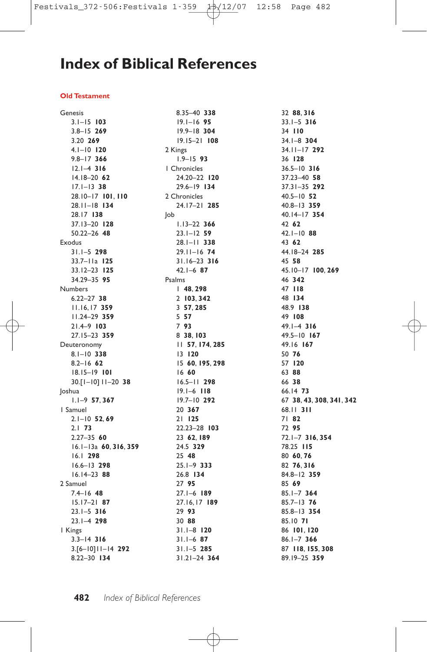### **Index of Biblical References**

#### **Old Testament**

Genesis 3.1–15 **103** 3.8–15 **269** 3.20 **269** 4.1–10 **120** 9.8–17 **366** 12.1–4 **316** 14.18–20 **62** 17.1–13 **38** 28.10–17 **101**, **110** 28.11–18 **134** 28.17 **138** 37.13–20 **128** 50.22–26 **48** Exodus 31.1–5 **298** 33.7–11a **125** 33.12–23 **125** 34.29–35 **95** Numbers 6.22–27 **38** 11.16,17 **359** 11.24–29 **359** 21.4–9 **103** 27.15–23 **359** Deuteronomy 8.1–10 **338** 8.2–16 **62** 18.15–19 **101** 30.[1–10] 11–20 **38** Joshua 1.1–9 **57**, **367** 1 Samuel 2.1–10 **52**, **69** 2.1 **73** 2.27–35 **60** 16.1–13a **60**, **316**, **359** 16.1 **298** 16.6–13 **298** 16.14–23 **88** 2 Samuel 7.4–16 **48** 15.17–21 **87** 23.1–5 **316** 23.1–4 **298** 1 Kings 3.3–14 **316** 3.[6–10]11–14 **292** 8.22–30 **134**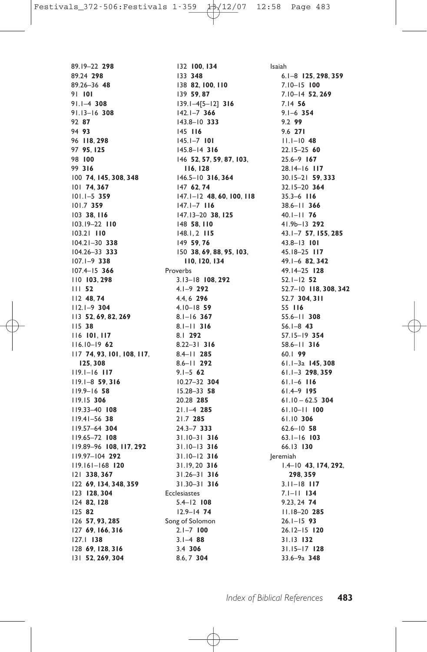89.19–22 **298** 89.24 **298** 89.26–36 **48** 91 **101** 91.1–4 **308** 91.13–16 **308** 92 **87** 94 **93** 96 **118**, **298** 97 **95**, **125** 98 **100** 99 **316** 100 **74**, **145**, **308**, **348** 101 **74**, **367** 101.1–5 **359** 101.7 **359** 103 **38**, **116** 103.19–22 **110** 103.21 **110** 104.21–30 **338** 104.26–33 **333** 107.1–9 **338** 107.4–15 **366** 110 **103**, **298** 111 **52** 112 **48**, **74** 112.1–9 **304** 113 **52**, **69**, **82**, **269** 115 **38** 116 **101**, **117** 116.10–19 **62** 117 **74**, **93**, **101**, **108**, **117**, **125**, **308** 119.1–16 **117** 119.1–8 **59**, **316** 119.9–16 **58** 119.15 **306** 119.33–40 **108** 119.41–56 **38** 119.57–64 **304** 119.65–72 **108** 119.89–96 **108**, **117**, **292** 119.97–104 **292** 119.161–168 **120** 121 **338**, **367** 122 **69**, **134**, **348**, **359** 123 **128**, **304** 124 **82**, **128** 125 **82** 126 **57**, **93**, **285** 127 **69**, **166**, **316** 127.1 **138** 128 **69**, **128**, **316** 131 **52**, **269**, **304**

132 **100**, **134** 133 **348** 138 **82**, **100**, **110** 139 **59**, **87** 139.1–4[5–12] **316** 142.1–7 **366** 143.8–10 **333** 145 **116** 145.1–7 **101** 145.8–14 **316** 146 **52**, **57**, **59**, **87**, **103**, **116**, **128** 146.5–10 **316**, **364** 147 **62**, **74** 147.1–12 **48**, **60**, **100**, **118** 147.1–7 **116** 147.13–20 **38**, **125** 148 **58**, **110** 148.1, 2 **115** 149 **59**, **76** 150 **38**, **69**, **88**, **95**, **103**, **110**, **120**, **134** Proverbs 3.13–18 **108**, **292** 4.1–9 **292** 4.4, 6 **296** 4.10–18 **59** 8.1–16 **367** 8.1–11 **316** 8.1 **292** 8.22–31 **316** 8.4–11 **285** 8.6–11 **292** 9.1–5 **62** 10.27–32 **304** 15.28–33 **58** 20.28 **285** 21.1–4 **285** 21.7 **285** 24.3–7 **333** 31.10–31 **316** 31.10–13 **316** 31.10–12 **316** 31.19, 20 **316** 31.26–31 **316** 31.30–31 **316** Ecclesiastes 5.4–12 **108** 12.9–14 **74** Song of Solomon 2.1–7 **100** 3.1–4 **88** 3.4 **306** 8.6, 7 **304**

Isaiah 6.1–8 **125**, **298**, **359** 7.10–15 **100** 7.10–14 **52**, **269** 7.14 **56** 9.1–6 **354** 9.2 **99** 9.6 **271** 11.1–10 **48** 22.15–25 **60** 25.6–9 **167** 28.14–16 **117** 30.15–21 **59**, **333** 32.15–20 **364** 35.3–6 **116** 38.6–11 **366** 40.1–11 **76** 41.9b–13 **292** 43.1–7 **57**, **155**, **285** 43.8–13 **101** 45.18–25 **117** 49.1–6 **82**, **342** 49.14–25 **128** 52.1–12 **52** 52.7–10 **118**, **308**, **342** 52.7 **304**, **311** 55 **116** 55.6–11 **308** 56.1–8 **43** 57.15–19 **354** 58.6–11 **316** 60.1 **99** 61.1–3a **145**, **308** 61.1–3 **298**, **359** 61.1–6 **116** 61.4–9 **195** 61.10 – 62.5 **304** 61.10–11 **100** 61.10 **306** 62.6–10 **58** 63.1–16 **103** 66.13 **130** Jeremiah 1.4–10 **43**, **174**, **292**, **298**, **359** 3.11–18 **117** 7.1–11 **134** 9.23, 24 **74** 11.18–20 **285** 26.1–15 **93** 26.12–15 **120** 31.13 **132** 31.15–17 **128** 33.6–9a **348**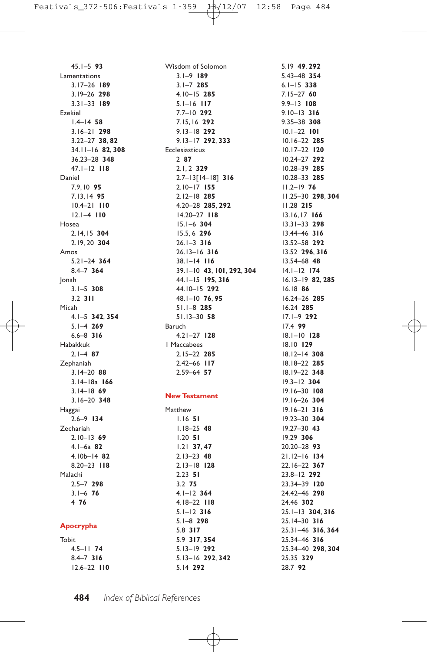45.1–5 **93** Lamentations 3.17–26 **189** 3.19–26 **298** 3.31–33 **189** Ezekiel 1.4–14 **58** 3.16–21 **298** 3.22–27 **38**, **82** 34.11–16 **82**, **308** 36.23–28 **348** 47.1–12 **118** Daniel 7.9,10 **95** 7.13,14 **95** 10.4–21 **110** 12.1–4 **110** Hosea 2.14,15 **304** 2.19, 20 **304** Amos 5.21–24 **364** 8.4–7 **364** Jonah 3.1–5 **308** 3.2 **311** Micah 4.1–5 **342**, **354** 5.1–4 **269** 6.6–8 **316** Habakkuk 2.1–4 **87** Zephaniah 3.14–20 **88** 3.14–18a **166** 3.14–18 **69** 3.16–20 **348** Haggai 2.6–9 **134** Zechariah 2.10–13 **69** 4.1–6a **82** 4.10b–14 **82** 8.20–23 **118** Malachi 2.5–7 **298** 3.1–6 **76** 4 **76 Apocrypha** Tobit

4.5–11 **74** 8.4–7 **316** 12.6–22 **110**

Wisdom of Solomon 3.1–9 **189** 3.1–7 **285** 4.10–15 **285** 5.1–16 **117** 7.7–10 **292** 7.15,16 **292** 9.13–18 **292** 9.13–17 **292**, **333** Ecclesiasticus 2 **87** 2.1, 2 **329** 2.7–13[14–18] **316** 2.10–17 **155** 2.12–18 **285** 4.20–28 **285**, **292** 14.20–27 **118** 15.1–6 **304** 15.5, 6 **296** 26.1–3 **316** 26.13–16 **316** 38.1–14 **116** 39.1–10 **43**, **101**, **292**, **304** 44.1–15 **195**, **316** 44.10–15 **292** 48.1–10 **76**, **95** 51.1–8 **285** 51.13–30 **58** Baruch 4.21–27 **128** 1 Maccabees 2.15–22 **285** 2.42–66 **117** 2.59–64 **57 New Testament** Matthew 1.16 **51** 1.18–25 **48** 1.20 **51** 1.21 **37**, **47** 2.13–23 **48** 2.13–18 **128** 2.23 **51** 3.2 **75** 4.1–12 **364** 4.18–22 **118** 5.1–12 **316**

5.19 **49**, **292** 5.43–48 **354** 6.1–15 **338** 7.15–27 **60** 9.9–13 **108** 9.10–13 **316** 9.35–38 **308** 10.1–22 **101** 10.16–22 **285** 10.17–22 **120** 10.24–27 **292** 10.28–39 **285** 10.28–33 **285** 11.2–19 **76** 11.25–30 **298**, **304** 11.28 **215** 13.16,17 **166** 13.31–33 **298** 13.44–46 **316** 13.52–58 **292** 13.52 **296**, **316** 13.54–68 **48** 14.1–12 **174** 16.13–19 **82**, **285** 16.18 **86** 16.24–26 **285** 16.24 **285** 17.1–9 **292** 17.4 **99** 18.1–10 **128** 18.10 **129** 18.12–14 **308** 18.18–22 **285** 18.19–22 **348** 19.3–12 **304** 19.16–30 **108** 19.16–26 **304** 19.16–21 **316** 19.23–30 **304** 19.27–30 **43** 19.29 **306** 20.20–28 **93** 21.12–16 **134** 22.16–22 **367** 23.8–12 **292** 23.34–39 **120** 24.42–46 **298** 24.46 **302** 25.1–13 **304**, **316** 25.14–30 **316** 25.31–46 **316**, **364** 25.34–46 **316** 25.34–40 **298**, **304** 25.35 **329** 28.7 **92**

5.1–8 **298** 5.8 **317** 5.9 **317**, **354** 5.13–19 **292** 5.13–16 **292**, **342** 5.14 **292**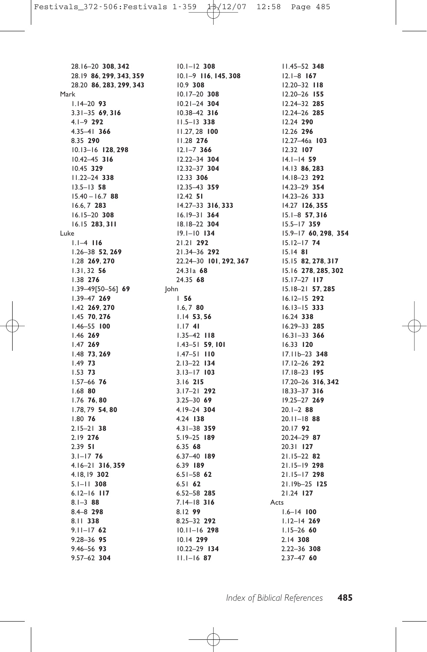28.16–20 **308**, **342** 28.19 **86**, **299**, **343**, **359** 28.20 **86**, **283**, **299**, **343** Mark 1.14–20 **93** 3.31–35 **69**, **316** 4.1–9 **292** 4.35–41 **366** 8.35 **290** 10.13–16 **128**, **298** 10.42–45 **316** 10.45 **329** 11.22–24 **338** 13.5–13 **58** 15.40 – 16.7 **88** 16.6, 7 **283** 16.15–20 **308** 16.15 **283**, **311** Luke 1.1–4 **116** 1.26–38 **52**, **269** 1.28 **269**, **270** 1.31, 32 **56** 1.38 **276** 1.39–49[50–56] **69** 1.39–47 **269** 1.42 **269**, **270** 1.45 **70**, **276** 1.46–55 **100** 1.46 **269** 1.47 **269** 1.48 **73**, **269** 1.49 **73** 1.53 **73** 1.57–66 **76** 1.68 **80** 1.76 **76**, **80** 1.78, 79 **54**, **80** 1.80 **76** 2.15–21 **38** 2.19 **276** 2.39 **51** 3.1–17 **76** 4.16–21 **316**, **359** 4.18,19 **302** 5.1–11 **308** 6.12–16 **117** 8.1–3 **88** 8.4–8 **298** 8.11 **338** 9.11–17 **62** 9.28–36 **95** 9.46–56 **93** 9.57–62 **304**

10.1–12 **308** 10.1–9 **116**, **145**, **308** 10.9 **308** 10.17–20 **308** 10.21–24 **304** 10.38–42 **316** 11.5–13 **338** 11.27, 28 **100** 11.28 **276** 12.1–7 **366** 12.22–34 **304** 12.32–37 **304** 12.33 **306** 12.35–43 **359** 12.42 **51** 14.27–33 **316**, **333** 16.19–31 **364** 18.18–22 **304** 19.1–10 **134** 21.21 **292** 21.34–36 **292** 22.24–30 **101**, **292**, **367** 24.31a **68** 24.35 **68** John 1 **56** 1.6, 7 **80** 1.14 **53**, **56** 1.17 **41** 1.35–42 **118** 1.43–51 **59**, **101** 1.47–51 **110** 2.13–22 **134** 3.13–17 **103** 3.16 **215** 3.17–21 **292** 3.25–30 **69** 4.19–24 **304** 4.24 **138** 4.31–38 **359** 5.19–25 **189** 6.35 **68** 6.37–40 **189** 6.39 **189** 6.51–58 **62** 6.51 **62** 6.52–58 **285** 7.14–18 **316** 8.12 **99** 8.25–32 **292** 10.11–16 **298** 10.14 **299** 10.22–29 **134** 11.1–16 **87**

11.45–52 **348** 12.1–8 **167** 12.20–32 **118** 12.20–26 **155** 12.24–32 **285** 12.24–26 **285** 12.24 **290** 12.26 **296** 12.27–46a **103** 12.32 **107** 14.1–14 **59** 14.13 **86**, **283** 14.18–23 **292** 14.23–29 **354** 14.23–26 **333** 14.27 **126**, **355** 15.1–8 **57**, **316** 15.5–17 **359** 15.9–17 **60**, **298**, **354** 15.12–17 **74** 15.14 **81** 15.15 **82**, **278**, **317** 15.16 **278**, **285**, **302** 15.17–27 **117** 15.18–21 **57**, **285** 16.12–15 **292** 16.13–15 **333** 16.24 **338** 16.29–33 **285** 16.31–33 **366** 16.33 **120** 17.11b–23 **348** 17.12–26 **292** 17.18–23 **195** 17.20–26 **316**, **342** 18.33–37 **316** 19.25–27 **269** 20.1–2 **88** 20.11–18 **88** 20.17 **92** 20.24–29 **87** 20.31 **127** 21.15–22 **82** 21.15–19 **298** 21.15–17 **298** 21.19b–25 **125** 21.24 **127** Acts 1.6–14 **100** 1.12–14 **269** 1.15–26 **60** 2.14 **308** 2.22–36 **308** 2.37–47 **60**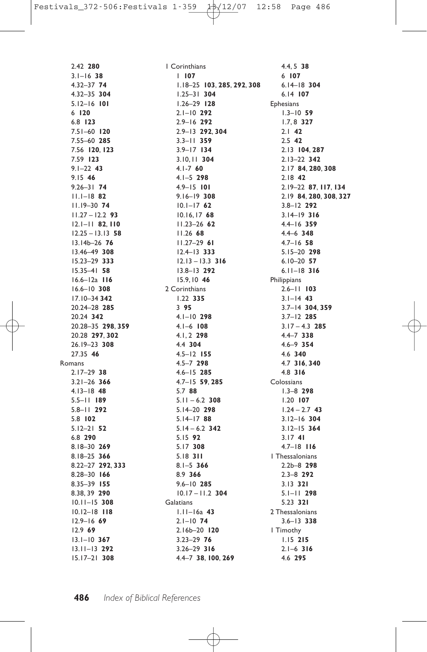2.42 **280** 3.1–16 **38** 4.32–37 **74** 4.32–35 **304** 5.12–16 **101** 6 **120** 6.8 **123** 7.51–60 **120** 7.55–60 **285** 7.56 **120**, **123** 7.59 **123** 9.1–22 **43** 9.15 **46** 9.26–31 **74** 11.1–18 **82** 11.19–30 **74** 11.27 – 12.2 **93** 12.1–11 **82**, **110** 12.25 – 13.13 **58** 13.14b–26 **76** 13.46–49 **308** 15.23–29 **333** 15.35–41 **58** 16.6–12a **116** 16.6–10 **308** 17.10–34 **342** 20.24–28 **285** 20.24 **342** 20.28–35 **298**, **359** 20.28 **297**, **302** 26.19–23 **308** 27.35 **46** Romans 2.17–29 **38** 3.21–26 **366** 4.13–18 **48** 5.5–11 **189** 5.8–11 **292** 5.8 **102** 5.12–21 **52** 6.8 **290** 8.18–30 **269** 8.18–25 **366** 8.22–27 **292**, **333** 8.28–30 **166** 8.35–39 **155** 8.38, 39 **290** 10.11–15 **308** 10.12–18 **118** 12.9–16 **69** 12.9 **69** 13.1–10 **367** 13.11–13 **292** 15.17–21 **308**

1 Corinthians 1 **107** 1.18–25 **103**, **285**, **292**, **308** 1.25–31 **304** 1.26–29 **128** 2.1–10 **292** 2.9–16 **292** 2.9–13 **292**, **304** 3.3–11 **359** 3.9–17 **134** 3.10,11 **304** 4.1-7 **60** 4.1–5 **298** 4.9–15 **101** 9.16–19 **308** 10.1–17 **62** 10.16,17 **68** 11.23–26 **62** 11.26 **68** 11.27–29 **61** 12.4–13 **333** 12.13 – 13.3 **316** 13.8–13 **292** 15.9,10 **46** 2 Corinthians 1.22 **335** 3 **95** 4.1–10 **298** 4.1–6 **108** 4.1, 2 **298** 4.4 **304** 4.5–12 **155** 4.5–7 **298** 4.6–15 **285** 4.7–15 **59**, **285** 5.7 **88** 5.11 – 6.2 **308** 5.14–20 **298** 5.14–17 **88** 5.14 – 6.2 **342** 5.15 **92** 5.17 **308** 5.18 **311** 8.1–5 **366** 8.9 **366** 9.6–10 **285** 10.17 – 11.2 **304** Galatians 1.11–16a **43** 2.1–10 **74** 2.16b–20 **120** 3.23–29 **76** 3.26–29 **316** 4.4–7 **38**, **100**, **269**

4.4, 5 **38** 6 **107** 6.14–18 **304** 6.14 **107** Ephesians 1.3–10 **59** 1.7, 8 **327** 2.1 **42** 2.5 **42** 2.13 **104**, **287** 2.13–22 **342** 2.17 **84**, **280**, **308** 2.18 **42** 2.19–22 **87**, **117**, **134** 2.19 **84**, **280**, **308**, **327** 3.8–12 **292** 3.14–19 **316** 4.4–16 **359** 4.4–6 **348** 4.7–16 **58** 5.15–20 **298** 6.10–20 **57** 6.11–18 **316** Philippians 2.6–11 **103** 3.1–14 **43** 3.7–14 **304**, **359** 3.7–12 **285** 3.17 – 4.3 **285** 4.4–7 **338** 4.6–9 **354** 4.6 **340** 4.7 **316**, **340** 4.8 **316** Colossians 1.3–8 **298** 1.20 **107** 1.24 – 2.7 **43** 3.12–16 **304** 3.12–15 **364** 3.17 **41** 4.7–18 **116** 1 Thessalonians 2.2b–8 **298** 2.3–8 **292** 3.13 **321** 5.1–11 **298** 5.23 **321** 2 Thessalonians 3.6–13 **338** 1 Timothy 1.15 **215** 2.1–6 **316** 4.6 **295**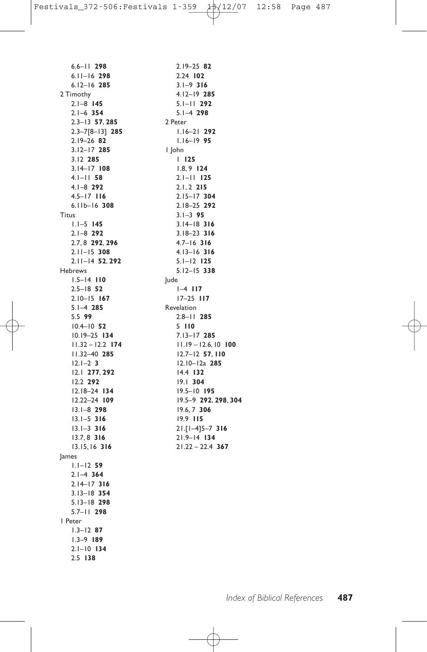6.11–16 **298** 6.12–16 **285** 2 Timothy 2.1–8 **145** 2.1–6 **354** 2.3–13 **57**, **285** 2.3–7[8–13] **285** 2.19–26 **82** 3.12–17 **285** 3.12 **285** 3.14–17 **108** 4.1–11 **58** 4.1–8 **292** 4.5–17 **116** 6.11b–16 **308 Titus** 1.1–5 **145** 2.1–8 **292** 2.7, 8 **292**, **296** 2.11–15 **308** 2.11–14 **52**, **292 Hebrews** 1.5–14 **110** 2.5–18 **52** 2.10–15 **167** 5.1–4 **285** 5.5 **99** 10.4–10 **52** 10.19–25 **134** 11.32 – 12.2 **174** 11.32–40 **285** 12.1–2 **3** 12.1 **277**, **292** 12.2 **292** 12.18–24 **134** 12.22–24 **109** 13.1–8 **298** 13.1–5 **316** 13.1–3 **316** 13.7, 8 **316** 13.15,16 **316** James 1.1–12 **59** 2.1–4 **364** 2.14–17 **316** 3.13–18 **354** 5.13–18 **298** 5.7–11 **298** 1 Peter 1.3–12 **87** 1.3–9 **189** 2.1–10 **134** 2.5 **138**

6.6–11 **298**

2.19–25 **82** 2.24 **102** 3.1–9 **316** 4.12–19 **285** 5.1–11 **292** 5.1–4 **298** 2 Peter 1.16–21 **292** 1.16–19 **95** 1 John 1 **125** 1.8, 9 **124** 2.1–11 **125** 2.1, 2 **215** 2.15–17 **304** 2.18–25 **292** 3.1–3 **95** 3.14–18 **316** 3.18–23 **316** 4.7–16 **316** 4.13–16 **316** 5.1–12 **125** 5.12–15 **338** Jude 1–4 **117** 17–25 **117** Revelation 2.8–11 **285** 5 **110** 7.13–17 **285** 11.19 – 12.6,10 **100** 12.7–12 **57**, **110** 12.10–12a **285** 14.4 **132** 19.1 **304** 19.5–10 **195** 19.5–9 **292**, **298**, **304** 19.6, 7 **306** 19.9 **115** 21.[1–4]5–7 **316** 21.9–14 **134** 21.22 – 22.4 **367**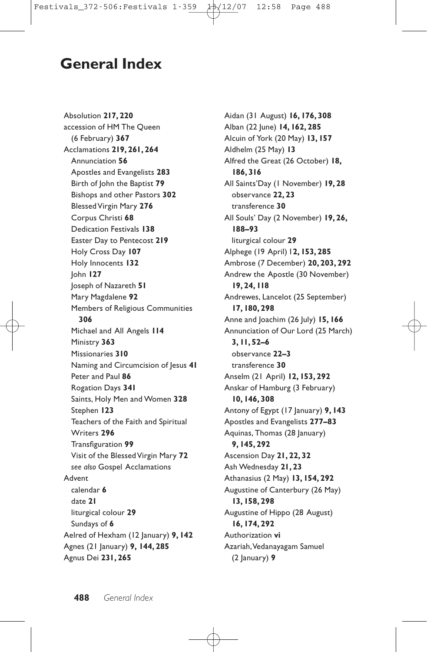Festivals\_372-506: Festivals 1-359  $\frac{1}{2}$ /12/07 12:58 Page 488

# **General Index**

Absolution **217, 220** accession of HM The Queen (6 February) **367** Acclamations **219, 261, 264** Annunciation **56** Apostles and Evangelists **283** Birth of John the Baptist **79** Bishops and other Pastors **302** BlessedVirgin Mary **276** Corpus Christi **68** Dedication Festivals **138** Easter Day to Pentecost **219** Holy Cross Day **107** Holy Innocents **132** John **127** Joseph of Nazareth **51** Mary Magdalene **92** Members of Religious Communities **306** Michael and All Angels **114** Ministry **363** Missionaries **310** Naming and Circumcision of Jesus **41** Peter and Paul **86** Rogation Days **341** Saints, Holy Men and Women **328** Stephen **123** Teachers of the Faith and Spiritual Writers **296** Transfiguration **99** Visit of the BlessedVirgin Mary **72** *see also* Gospel Acclamations Advent calendar **6** date **21** liturgical colour **29** Sundays of **6** Aelred of Hexham (12 January) **9, 142** Agnes (21 January) **9, 144, 285** Agnus Dei **231, 265**

Aidan (31 August) **16, 176, 308** Alban (22 June) **14, 162, 285** Alcuin of York (20 May) **13, 157** Aldhelm (25 May) **13** Alfred the Great (26 October) **18, 186, 316** All Saints'Day (1 November) **19, 28** observance **22, 23** transference **30** All Souls' Day (2 November) **19, 26, 188–93** liturgical colour **29** Alphege (19 April) 1**2, 153, 285** Ambrose (7 December) **20, 203, 292** Andrew the Apostle (30 November) **19, 24, 118** Andrewes, Lancelot (25 September) **17, 180, 298** Anne and Joachim (26 July) **15, 166** Annunciation of Our Lord (25 March) **3, 11, 52–6** observance **22–3** transference **30** Anselm (21 April) **12, 153, 292** Anskar of Hamburg (3 February) **10, 146, 308** Antony of Egypt (17 January) **9, 143** Apostles and Evangelists **277–83** Aquinas, Thomas (28 January) **9, 145, 292** Ascension Day **21, 22, 32** Ash Wednesday **21, 23** Athanasius (2 May) **13, 154, 292** Augustine of Canterbury (26 May) **13, 158, 298** Augustine of Hippo (28 August) **16, 174, 292** Authorization **vi** Azariah,Vedanayagam Samuel (2 January) **9**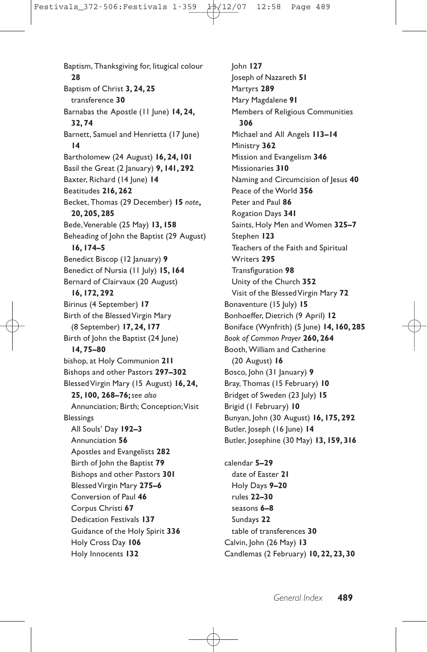Baptism, Thanksgiving for, litugical colour **28** Baptism of Christ **3, 24, 25** transference **30** Barnabas the Apostle (11 June) **14, 24, 32, 74** Barnett, Samuel and Henrietta (17 June) **14** Bartholomew (24 August) **16, 24, 101** Basil the Great (2 January) **9, 141, 292** Baxter, Richard (14 June) **14** Beatitudes **216, 262** Becket, Thomas (29 December) **15** *note***, 20, 205, 285** Bede,Venerable (25 May) **13, 158** Beheading of John the Baptist (29 August) **16, 174–5** Benedict Biscop (12 January) **9** Benedict of Nursia (11 July) **15, 164** Bernard of Clairvaux (20 August) **16, 172, 292** Birinus (4 September) **17** Birth of the BlessedVirgin Mary (8 September) **17, 24, 177** Birth of John the Baptist (24 June) **14, 75–80** bishop, at Holy Communion **211** Bishops and other Pastors **297–302** BlessedVirgin Mary (15 August) **16, 24, 25, 100, 268–76;***see also* Annunciation; Birth; Conception;Visit Blessings All Souls' Day **192–3** Annunciation **56** Apostles and Evangelists **282** Birth of John the Baptist **79** Bishops and other Pastors **301** BlessedVirgin Mary **275–6** Conversion of Paul **46** Corpus Christi **67** Dedication Festivals **137** Guidance of the Holy Spirit **336**

Holy Cross Day **106** Holy Innocents **132**

John **127** Joseph of Nazareth **51** Martyrs **289** Mary Magdalene **91** Members of Religious Communities **306** Michael and All Angels **113–14** Ministry **362** Mission and Evangelism **346** Missionaries **310** Naming and Circumcision of Jesus **40** Peace of the World **356** Peter and Paul **86** Rogation Days **341** Saints, Holy Men and Women **325–7** Stephen **123** Teachers of the Faith and Spiritual Writers **295** Transfiguration **98** Unity of the Church **352** Visit of the BlessedVirgin Mary **72** Bonaventure (15 July) **15** Bonhoeffer, Dietrich (9 April) **12** Boniface (Wynfrith) (5 June) **14, 160, 285** *Book of Common Prayer* **260, 264** Booth,William and Catherine (20 August) **16** Bosco, John (31 January) **9** Bray, Thomas (15 February) **10** Bridget of Sweden (23 July) **15** Brigid (1 February) **10** Bunyan, John (30 August) **16, 175, 292** Butler, Joseph (16 June) **14** Butler, Josephine (30 May) **13, 159, 316**

calendar **5–29** date of Easter **21** Holy Days **9–20** rules **22–30** seasons **6–8** Sundays **22** table of transferences **30** Calvin, John (26 May) **13** Candlemas (2 February) **10, 22, 23, 30**

*General Index* **489**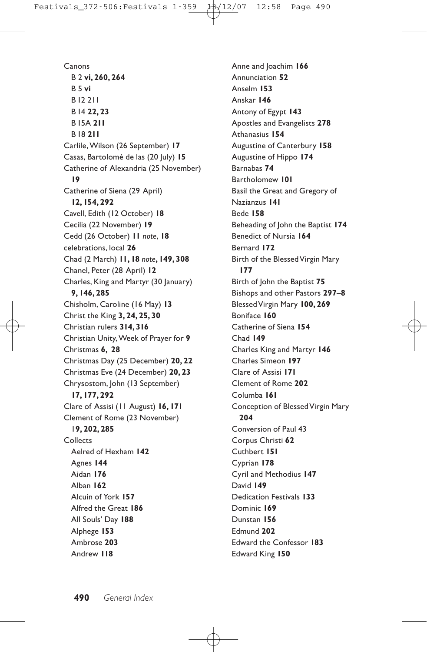Canons B 2 **vi, 260, 264** B 5 **vi** B 12 211 B 14 **22, 23** B 15A **211** B 18 **211** Carlile,Wilson (26 September) **17** Casas, Bartolomé de las (20 July) **15** Catherine of Alexandria (25 November) **19** Catherine of Siena (29 April) **12, 154, 292** Cavell, Edith (12 October) **18** Cecilia (22 November) **19** Cedd (26 October) **11** *note*, **18** celebrations, local **26** Chad (2 March) **11, 18** *note***, 149, 308** Chanel, Peter (28 April) **12** Charles, King and Martyr (30 January) **9, 146, 285** Chisholm, Caroline (16 May) **13** Christ the King **3, 24, 25, 30** Christian rulers **314, 316** Christian Unity,Week of Prayer for **9** Christmas **6, 28** Christmas Day (25 December) **20, 22** Christmas Eve (24 December) **20, 23** Chrysostom, John (13 September) **17, 177, 292** Clare of Assisi (11 August) **16, 171** Clement of Rome (23 November) 1**9, 202, 285 Collects** Aelred of Hexham **142** Agnes **144** Aidan **176** Alban **162** Alcuin of York **157** Alfred the Great **186** All Souls' Day **188** Alphege **153** Ambrose **203** Andrew **118**

Anne and Joachim **166** Annunciation **52** Anselm **153** Anskar **146** Antony of Egypt **143** Apostles and Evangelists **278** Athanasius **154** Augustine of Canterbury **158** Augustine of Hippo **174** Barnabas **74** Bartholomew **101** Basil the Great and Gregory of Nazianzus **141** Bede **158** Beheading of John the Baptist **174** Benedict of Nursia **164** Bernard **172** Birth of the BlessedVirgin Mary **177** Birth of John the Baptist **75** Bishops and other Pastors **297–8** BlessedVirgin Mary **100, 269** Boniface **160** Catherine of Siena **154** Chad **149** Charles King and Martyr **146** Charles Simeon **197** Clare of Assisi **171** Clement of Rome **202** Columba **161** Conception of BlessedVirgin Mary **204** Conversion of Paul 43 Corpus Christi **62** Cuthbert **151** Cyprian **178** Cyril and Methodius **147** David **149** Dedication Festivals **133** Dominic **169** Dunstan **156** Edmund **202** Edward the Confessor **183** Edward King **150**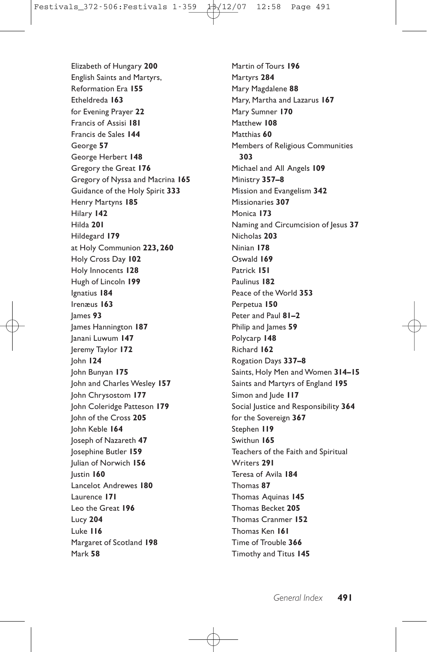Festivals\_372-506: Festivals 1-359  $\cancel{13}/12/07$  12:58 Page 491

Elizabeth of Hungary **200** English Saints and Martyrs, Reformation Era **155** Etheldreda **163** for Evening Prayer **22** Francis of Assisi **181** Francis de Sales **144** George **57** George Herbert **148** Gregory the Great **176** Gregory of Nyssa and Macrina **165** Guidance of the Holy Spirit **333** Henry Martyns **185** Hilary **142** Hilda **201** Hildegard **179** at Holy Communion **223, 260** Holy Cross Day **102** Holy Innocents **128** Hugh of Lincoln **199** Ignatius **184** Irenæus **163** James **93** James Hannington **187** Janani Luwum **147** Jeremy Taylor **172** John **124** John Bunyan **175** John and Charles Wesley **157** John Chrysostom **177** John Coleridge Patteson **179** John of the Cross **205** John Keble **164** Joseph of Nazareth **47** Josephine Butler **159** Julian of Norwich **156** Justin **160** Lancelot Andrewes **180** Laurence **171** Leo the Great **196** Lucy **204** Luke **116** Margaret of Scotland **198** Mark **58**

Martin of Tours **196** Martyrs **284** Mary Magdalene **88** Mary, Martha and Lazarus **167** Mary Sumner **170** Matthew **108** Matthias **60** Members of Religious Communities **303** Michael and All Angels **109** Ministry **357–8** Mission and Evangelism **342** Missionaries **307** Monica **173** Naming and Circumcision of Jesus **37** Nicholas **203** Ninian **178** Oswald **169** Patrick **151** Paulinus **182** Peace of the World **353** Perpetua **150** Peter and Paul **81–2** Philip and James **59** Polycarp **148** Richard **162** Rogation Days **337–8** Saints, Holy Men and Women **314–15** Saints and Martyrs of England **195** Simon and Jude **117** Social Justice and Responsibility **364** for the Sovereign **367** Stephen **119** Swithun **165** Teachers of the Faith and Spiritual Writers **291** Teresa of Avila **184** Thomas **87** Thomas Aquinas **145** Thomas Becket **205** Thomas Cranmer **152** Thomas Ken **161** Time of Trouble **366** Timothy and Titus **145**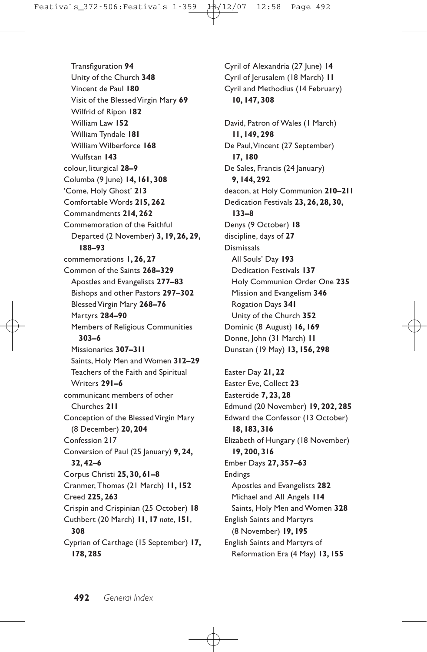Festivals\_372-506: Festivals 1-359  $\frac{1}{2}$ 12/07 12:58 Page 492

Transfiguration **94** Unity of the Church **348** Vincent de Paul **180** Visit of the BlessedVirgin Mary **69** Wilfrid of Ripon **182** William Law **152** William Tyndale **181** William Wilberforce **168** Wulfstan **143** colour, liturgical **28–9** Columba (9 June) **14, 161, 308** 'Come, Holy Ghost' **213** Comfortable Words **215, 262** Commandments **214, 262** Commemoration of the Faithful Departed (2 November) **3, 19, 26, 29, 188–93** commemorations **1, 26, 27** Common of the Saints **268–329** Apostles and Evangelists **277–83** Bishops and other Pastors **297–302** BlessedVirgin Mary **268–76** Martyrs **284–90** Members of Religious Communities **303–6** Missionaries **307–311** Saints, Holy Men and Women **312–29** Teachers of the Faith and Spiritual Writers **291–6** communicant members of other Churches **211** Conception of the Blessed Virgin Mary (8 December) **20, 204** Confession 217 Conversion of Paul (25 January) **9, 24, 32, 42–6** Corpus Christi **25, 30, 61–8** Cranmer, Thomas (21 March) **11, 152** Creed **225, 263** Crispin and Crispinian (25 October) **18** Cuthbert (20 March) **11, 17** *note*, **151**, **308** Cyprian of Carthage (15 September) **17, 178, 285**

Cyril of Alexandria (27 June) **14** Cyril of Jerusalem (18 March) **11** Cyril and Methodius (14 February) **10, 147, 308** David, Patron of Wales (1 March) **11, 149, 298** De Paul,Vincent (27 September) **17, 180** De Sales, Francis (24 January) **9, 144, 292** deacon, at Holy Communion **210–211** Dedication Festivals **23, 26, 28, 30, 133–8** Denys (9 October) **18** discipline, days of **27** Dismissals All Souls' Day **193** Dedication Festivals **137** Holy Communion Order One **235** Mission and Evangelism **346** Rogation Days **341** Unity of the Church **352** Dominic (8 August) **16, 169** Donne, John (31 March) **11** Dunstan (19 May) **13, 156, 298**

Easter Day **21, 22** Easter Eve, Collect **23** Eastertide **7, 23, 28** Edmund (20 November) **19, 202, 285** Edward the Confessor (13 October) **18, 183, 316** Elizabeth of Hungary (18 November) **19, 200, 316** Ember Days **27, 357–63** Endings Apostles and Evangelists **282** Michael and All Angels **114** Saints, Holy Men and Women **328** English Saints and Martyrs (8 November) **19, 195** English Saints and Martyrs of Reformation Era (4 May) **13, 155**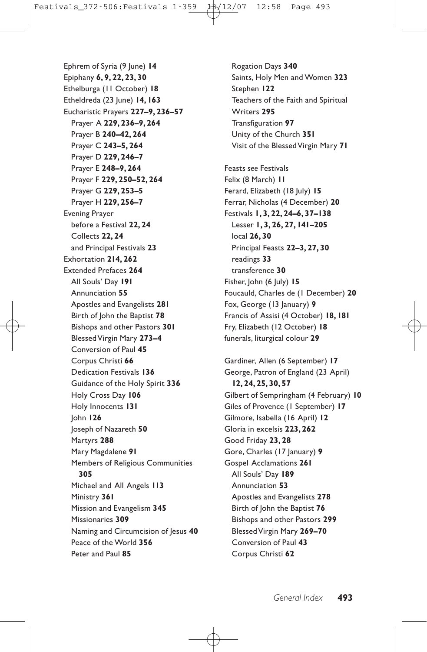Festivals\_372-506: Festivals 1-359  $\frac{1}{2}$ 12/07 12:58 Page 493

Ephrem of Syria (9 June) **14** Epiphany **6, 9, 22, 23, 30** Ethelburga (11 October) **18** Etheldreda (23 June) **14, 163** Eucharistic Prayers **227–9, 236–57** Prayer A **229, 236–9, 264** Prayer B **240–42, 264** Prayer C **243–5, 264** Prayer D **229, 246–7** Prayer E **248–9, 264** Prayer F **229, 250–52, 264** Prayer G **229, 253–5** Prayer H **229, 256–7** Evening Prayer before a Festival **22, 24** Collects **22, 24** and Principal Festivals **23** Exhortation **214, 262** Extended Prefaces **264** All Souls' Day **191** Annunciation **55** Apostles and Evangelists **281** Birth of John the Baptist **78** Bishops and other Pastors **301** BlessedVirgin Mary **273–4** Conversion of Paul **45** Corpus Christi **66** Dedication Festivals **136** Guidance of the Holy Spirit **336** Holy Cross Day **106** Holy Innocents **131** John **126** Joseph of Nazareth **50** Martyrs **288** Mary Magdalene **91** Members of Religious Communities **305** Michael and All Angels **113** Ministry **361** Mission and Evangelism **345** Missionaries **309** Naming and Circumcision of Jesus **40** Peace of the World **356** Peter and Paul **85**

Rogation Days **340** Saints, Holy Men and Women **323** Stephen **122** Teachers of the Faith and Spiritual Writers **295** Transfiguration **97** Unity of the Church **351** Visit of the BlessedVirgin Mary **71** Feasts *see* Festivals Felix (8 March) **11** Ferard, Elizabeth (18 July) **15** Ferrar, Nicholas (4 December) **20** Festivals **1, 3, 22, 24–6, 37–138** Lesser **1, 3, 26, 27, 141–205** local **26, 30** Principal Feasts **22–3, 27, 30** readings **33** transference **30** Fisher, John (6 July) **15** Foucauld, Charles de (1 December) **20** Fox, George (13 January) **9** Francis of Assisi (4 October) **18, 181** Fry, Elizabeth (12 October) **18** funerals, liturgical colour **29** Gardiner, Allen (6 September) **17** George, Patron of England (23 April) **12, 24, 25, 30, 57**

Gilbert of Sempringham (4 February) **10** Giles of Provence (1 September) **17** Gilmore, Isabella (16 April) **12** Gloria in excelsis **223, 262** Good Friday **23, 28** Gore, Charles (17 January) **9** Gospel Acclamations **261** All Souls' Day **189** Annunciation **53** Apostles and Evangelists **278** Birth of John the Baptist **76** Bishops and other Pastors **299** BlessedVirgin Mary **269–70** Conversion of Paul **43** Corpus Christi **62**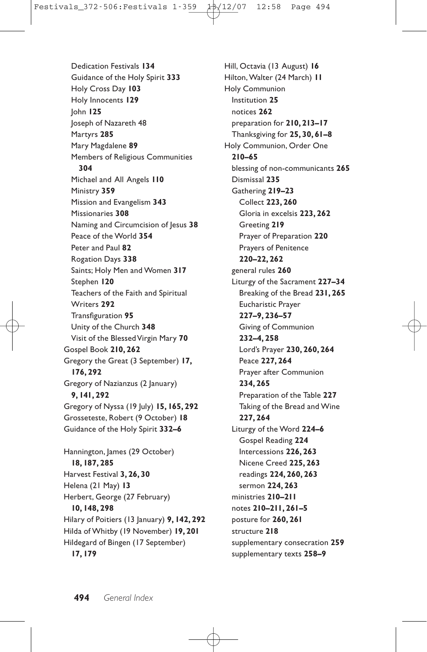Dedication Festivals **134** Guidance of the Holy Spirit **333** Holy Cross Day **103** Holy Innocents **129** John **125** Joseph of Nazareth 48 Martyrs **285** Mary Magdalene **89** Members of Religious Communities **304** Michael and All Angels **110** Ministry **359** Mission and Evangelism **343** Missionaries **308** Naming and Circumcision of Jesus **38** Peace of the World **354** Peter and Paul **82** Rogation Days **338** Saints; Holy Men and Women **317** Stephen **120** Teachers of the Faith and Spiritual Writers **292** Transfiguration **95** Unity of the Church **348** Visit of the BlessedVirgin Mary **70** Gospel Book **210, 262** Gregory the Great (3 September) **17, 176, 292** Gregory of Nazianzus (2 January) **9, 141, 292** Gregory of Nyssa (19 July) **15, 165, 292** Grosseteste, Robert (9 October) **18** Guidance of the Holy Spirit **332–6** Hannington, James (29 October) **18, 187, 285** Harvest Festival **3, 26, 30** Helena (21 May) **13** Herbert, George (27 February) **10, 148, 298** Hilary of Poitiers (13 January) **9, 142, 292** Hilda of Whitby (19 November) **19, 201** Hildegard of Bingen (17 September)

**17, 179**

Hill, Octavia (13 August) **16** Hilton,Walter (24 March) **11** Holy Communion Institution **25** notices **262** preparation for **210, 213–17** Thanksgiving for **25, 30, 61–8** Holy Communion, Order One **210–65** blessing of non-communicants **265** Dismissal **235** Gathering **219–23** Collect **223, 260** Gloria in excelsis **223, 262** Greeting **219** Prayer of Preparation **220** Prayers of Penitence **220–22, 262** general rules **260** Liturgy of the Sacrament **227–34** Breaking of the Bread **231, 265** Eucharistic Prayer **227–9, 236–57** Giving of Communion **232–4, 258** Lord's Prayer **230, 260, 264** Peace **227, 264** Prayer after Communion **234, 265** Preparation of the Table **227** Taking of the Bread and Wine **227, 264** Liturgy of the Word **224–6** Gospel Reading **224** Intercessions **226, 263** Nicene Creed **225, 263** readings **224, 260, 263** sermon **224, 263** ministries **210–211** notes **210–211, 261–5** posture for **260, 261** structure **218** supplementary consecration **259** supplementary texts **258–9**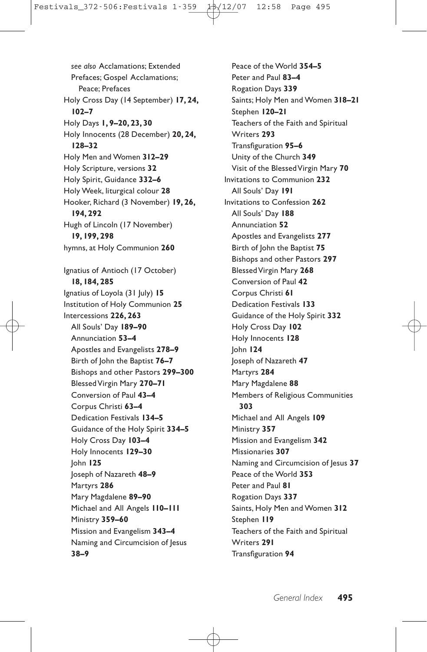*see also* Acclamations; Extended Prefaces; Gospel Acclamations; Peace; Prefaces Holy Cross Day (14 September) **17, 24, 102–7** Holy Days **1, 9–20, 23, 30** Holy Innocents (28 December) **20, 24, 128–32** Holy Men and Women **312–29** Holy Scripture, versions **32** Holy Spirit, Guidance **332–6** Holy Week, liturgical colour **28** Hooker, Richard (3 November) **19, 26, 194, 292** Hugh of Lincoln (17 November) **19, 199, 298** hymns, at Holy Communion **260** Ignatius of Antioch (17 October) **18, 184, 285** Ignatius of Loyola (31 July) **15** Institution of Holy Communion **25** Intercessions **226, 263** All Souls' Day **189–90** Annunciation **53–4** Apostles and Evangelists **278–9** Birth of John the Baptist **76–7** Bishops and other Pastors **299–300** BlessedVirgin Mary **270–71** Conversion of Paul **43–4** Corpus Christi **63–4** Dedication Festivals **134–5** Guidance of the Holy Spirit **334–5** Holy Cross Day **103–4** Holy Innocents **129–30** John **125** Joseph of Nazareth **48–9** Martyrs **286** Mary Magdalene **89–90** Michael and All Angels **110–111** Ministry **359–60** Mission and Evangelism **343–4** Naming and Circumcision of Jesus **38–9**

Peace of the World **354–5** Peter and Paul **83–4** Rogation Days **339** Saints; Holy Men and Women **318–21** Stephen **120–21** Teachers of the Faith and Spiritual Writers **293** Transfiguration **95–6** Unity of the Church **349** Visit of the BlessedVirgin Mary **70** Invitations to Communion **232** All Souls' Day **191** Invitations to Confession **262** All Souls' Day **188** Annunciation **52** Apostles and Evangelists **277** Birth of John the Baptist **75** Bishops and other Pastors **297** BlessedVirgin Mary **268** Conversion of Paul **42** Corpus Christi **61** Dedication Festivals **133** Guidance of the Holy Spirit **332** Holy Cross Day **102** Holy Innocents **128** John **124** Joseph of Nazareth **47** Martyrs **284** Mary Magdalene **88** Members of Religious Communities **303** Michael and All Angels **109** Ministry **357** Mission and Evangelism **342** Missionaries **307** Naming and Circumcision of Jesus **37** Peace of the World **353** Peter and Paul **81** Rogation Days **337** Saints, Holy Men and Women **312** Stephen **119** Teachers of the Faith and Spiritual Writers **291** Transfiguration **94**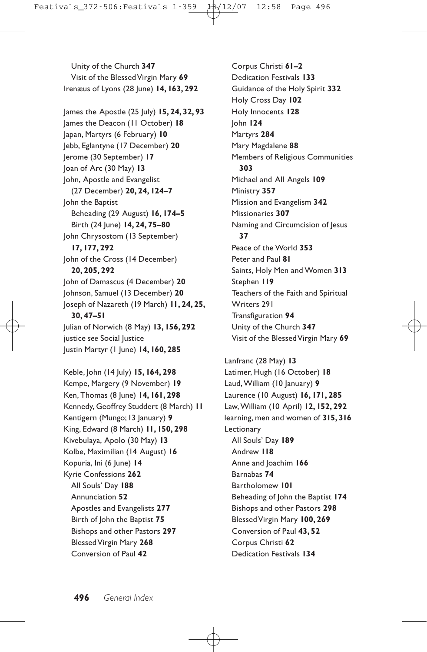Festivals\_372-506: Festivals 1-359  $\frac{1}{2}$ 12/07 12:58 Page 496

Unity of the Church **347** Visit of the BlessedVirgin Mary **69** Irenæus of Lyons (28 June) **14, 163, 292**

James the Apostle (25 July) **15, 24, 32, 93** James the Deacon (11 October) **18** Japan, Martyrs (6 February) **10** Jebb, Eglantyne (17 December) **20** Jerome (30 September) **17** Joan of Arc (30 May) **13** John, Apostle and Evangelist (27 December) **20, 24, 124–7** John the Baptist Beheading (29 August) **16, 174–5** Birth (24 June) **14, 24, 75–80** John Chrysostom (13 September) **17, 177, 292** John of the Cross (14 December) **20, 205, 292** John of Damascus (4 December) **20** Johnson, Samuel (13 December) **20** Joseph of Nazareth (19 March) **11, 24, 25, 30, 47–51** Julian of Norwich (8 May) **13, 156, 292** justice *see* Social Justice Justin Martyr (1 June) **14, 160, 285**

Keble, John (14 July) **15, 164, 298** Kempe, Margery (9 November) **19** Ken, Thomas (8 June) **14, 161, 298** Kennedy, Geoffrey Studdert (8 March) **11** Kentigern (Mungo;13 January) **9** King, Edward (8 March) **11, 150, 298** Kivebulaya, Apolo (30 May) **13** Kolbe, Maximilian (14 August) **16** Kopuria, Ini (6 June) **14** Kyrie Confessions **262** All Souls' Day **188** Annunciation **52** Apostles and Evangelists **277** Birth of John the Baptist **75** Bishops and other Pastors **297** BlessedVirgin Mary **268** Conversion of Paul **42**

Corpus Christi **61–2** Dedication Festivals **133** Guidance of the Holy Spirit **332** Holy Cross Day **102** Holy Innocents **128** John **124** Martyrs **284** Mary Magdalene **88** Members of Religious Communities **303** Michael and All Angels **109** Ministry **357** Mission and Evangelism **342** Missionaries **307** Naming and Circumcision of Jesus **37** Peace of the World **353** Peter and Paul **81** Saints, Holy Men and Women **313** Stephen **119** Teachers of the Faith and Spiritual Writers 291 Transfiguration **94** Unity of the Church **347** Visit of the BlessedVirgin Mary **69**

Lanfranc (28 May) **13** Latimer, Hugh (16 October) **18** Laud,William (10 January) **9** Laurence (10 August) **16, 171, 285** Law,William (10 April) **12, 152, 292** learning, men and women of **315, 316** Lectionary All Souls' Day **189** Andrew **118** Anne and Joachim **166** Barnabas **74** Bartholomew **101** Beheading of John the Baptist **174** Bishops and other Pastors **298** BlessedVirgin Mary **100, 269** Conversion of Paul **43, 52** Corpus Christi **62** Dedication Festivals **134**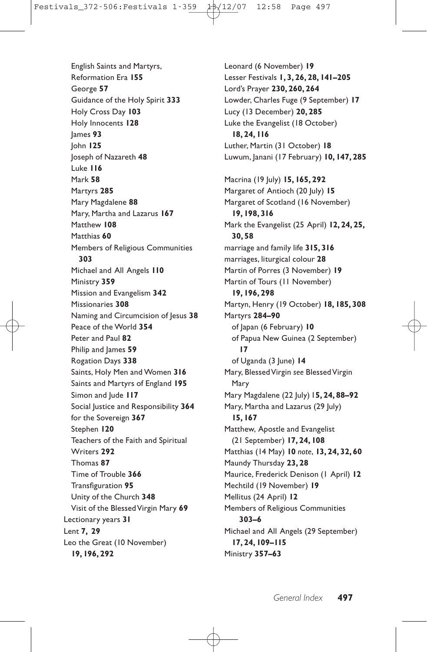Festivals\_372-506: Festivals 1-359  $\frac{1}{2}$ 12/07 12:58 Page 497

English Saints and Martyrs, Reformation Era **155** George **57** Guidance of the Holy Spirit **333** Holy Cross Day **103** Holy Innocents **128** James **93** John **125** Joseph of Nazareth **48** Luke **116** Mark **58** Martyrs **285** Mary Magdalene **88** Mary, Martha and Lazarus **167** Matthew **108** Matthias **60** Members of Religious Communities **303** Michael and All Angels **110** Ministry **359** Mission and Evangelism **342** Missionaries **308** Naming and Circumcision of Jesus **38** Peace of the World **354** Peter and Paul **82** Philip and James **59** Rogation Days **338** Saints, Holy Men and Women **316** Saints and Martyrs of England **195** Simon and Jude **117** Social Justice and Responsibility **364** for the Sovereign **367** Stephen **120** Teachers of the Faith and Spiritual Writers **292** Thomas **87** Time of Trouble **366** Transfiguration **95** Unity of the Church **348** Visit of the BlessedVirgin Mary **69** Lectionary years **31** Lent **7, 29** Leo the Great (10 November) **19, 196, 292**

Leonard (6 November) **19** Lesser Festivals **1, 3, 26, 28, 141–205** Lord's Prayer **230, 260, 264** Lowder, Charles Fuge (9 September) **17** Lucy (13 December) **20, 285** Luke the Evangelist (18 October) **18, 24, 116** Luther, Martin (31 October) **18** Luwum, Janani (17 February) **10, 147, 285** Macrina (19 July) **15, 165, 292** Margaret of Antioch (20 July) **15** Margaret of Scotland (16 November) **19, 198, 316** Mark the Evangelist (25 April) **12, 24, 25, 30, 58** marriage and family life **315, 316** marriages, liturgical colour **28** Martin of Porres (3 November) **19** Martin of Tours (11 November) **19, 196, 298** Martyn, Henry (19 October) **18, 185, 308** Martyrs **284–90** of Japan (6 February) **10** of Papua New Guinea (2 September) **17** of Uganda (3 June) **14** Mary, BlessedVirgin *see* BlessedVirgin Mary Mary Magdalene (22 July) 1**5, 24, 88–92** Mary, Martha and Lazarus (29 July) **15, 167** Matthew, Apostle and Evangelist (21 September) **17, 24, 108** Matthias (14 May) **10** *note*, **13, 24, 32, 60** Maundy Thursday **23, 28** Maurice, Frederick Denison (1 April) **12** Mechtild (19 November) **19** Mellitus (24 April) **12** Members of Religious Communities **303–6** Michael and All Angels (29 September) **17, 24, 109–115** Ministry **357–63**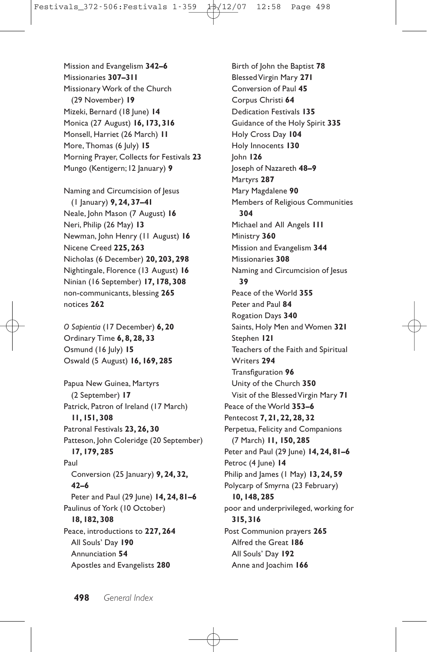Mission and Evangelism **342–6** Missionaries **307–311** Missionary Work of the Church (29 November) **19** Mizeki, Bernard (18 June) **14** Monica (27 August) **16, 173, 316** Monsell, Harriet (26 March) **11** More, Thomas (6 July) **15** Morning Prayer, Collects for Festivals **23** Mungo (Kentigern;12 January) **9**

Naming and Circumcision of Jesus (1 January) **9, 24, 37–41** Neale, John Mason (7 August) **16** Neri, Philip (26 May) **13** Newman, John Henry (11 August) **16** Nicene Creed **225, 263** Nicholas (6 December) **20, 203, 298** Nightingale, Florence (13 August) **16** Ninian (16 September) **17, 178, 308** non-communicants, blessing **265** notices **262**

*O Sapientia* (17 December) **6, 20** Ordinary Time **6, 8, 28, 33** Osmund (16 July) **15** Oswald (5 August) **16, 169, 285**

Papua New Guinea, Martyrs (2 September) **17** Patrick, Patron of Ireland (17 March) **11, 151, 308** Patronal Festivals **23, 26, 30** Patteson, John Coleridge (20 September) **17, 179, 285** Paul Conversion (25 January) **9, 24, 32, 42–6** Peter and Paul (29 June) **14, 24, 81–6** Paulinus of York (10 October) **18, 182, 308** Peace, introductions to **227, 264** All Souls' Day **190** Annunciation **54** Apostles and Evangelists **280**

Birth of John the Baptist **78** BlessedVirgin Mary **271** Conversion of Paul **45** Corpus Christi **64** Dedication Festivals **135** Guidance of the Holy Spirit **335** Holy Cross Day **104** Holy Innocents **130** John **126** Joseph of Nazareth **48–9** Martyrs **287** Mary Magdalene **90** Members of Religious Communities **304** Michael and All Angels **111** Ministry **360** Mission and Evangelism **344** Missionaries **308** Naming and Circumcision of Jesus **39** Peace of the World **355** Peter and Paul **84** Rogation Days **340** Saints, Holy Men and Women **321** Stephen **121** Teachers of the Faith and Spiritual Writers **294** Transfiguration **96** Unity of the Church **350** Visit of the BlessedVirgin Mary **71** Peace of the World **353–6** Pentecost **7, 21, 22, 28, 32** Perpetua, Felicity and Companions (7 March) **11, 150, 285** Peter and Paul (29 June) **14, 24, 81–6** Petroc (4 June) **14** Philip and James (1 May) **13, 24, 59** Polycarp of Smyrna (23 February) **10, 148, 285** poor and underprivileged, working for **315, 316** Post Communion prayers **265** Alfred the Great **186** All Souls' Day **192** Anne and Joachim **166**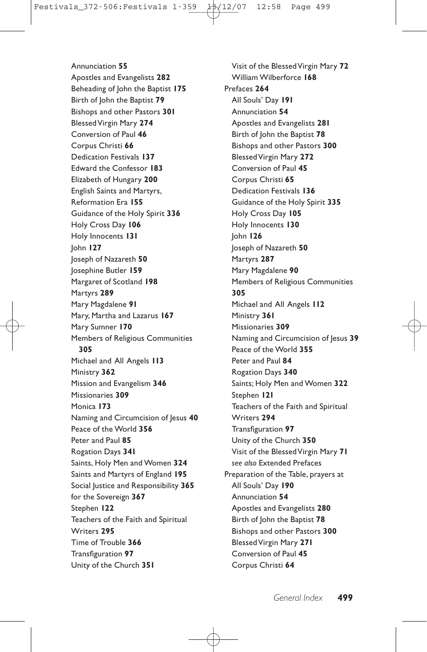Festivals\_372-506: Festivals 1-359  $\frac{1}{2}$ 12/07 12:58 Page 499

Annunciation **55** Apostles and Evangelists **282** Beheading of John the Baptist **175** Birth of John the Baptist **79** Bishops and other Pastors **301** BlessedVirgin Mary **274** Conversion of Paul **46** Corpus Christi **66** Dedication Festivals **137** Edward the Confessor **183** Elizabeth of Hungary **200** English Saints and Martyrs, Reformation Era **155** Guidance of the Holy Spirit **336** Holy Cross Day **106** Holy Innocents **131** John **127** Joseph of Nazareth **50** Josephine Butler **159** Margaret of Scotland **198** Martyrs **289** Mary Magdalene **91** Mary, Martha and Lazarus **167** Mary Sumner **170** Members of Religious Communities **305** Michael and All Angels **113** Ministry **362** Mission and Evangelism **346** Missionaries **309** Monica **173** Naming and Circumcision of Jesus **40** Peace of the World **356** Peter and Paul **85** Rogation Days **341** Saints, Holy Men and Women **324** Saints and Martyrs of England **195** Social Justice and Responsibility **365** for the Sovereign **367** Stephen **122** Teachers of the Faith and Spiritual Writers **295** Time of Trouble **366** Transfiguration **97** Unity of the Church **351**

Visit of the BlessedVirgin Mary **72** William Wilberforce **168** Prefaces **264** All Souls' Day **191** Annunciation **54** Apostles and Evangelists **281** Birth of John the Baptist **78** Bishops and other Pastors **300** BlessedVirgin Mary **272** Conversion of Paul **45** Corpus Christi **65** Dedication Festivals **136** Guidance of the Holy Spirit **335** Holy Cross Day **105** Holy Innocents **130** John **126** Joseph of Nazareth **50** Martyrs **287** Mary Magdalene **90** Members of Religious Communities **305** Michael and All Angels **112** Ministry **361** Missionaries **309** Naming and Circumcision of Jesus **39** Peace of the World **355** Peter and Paul **84** Rogation Days **340** Saints; Holy Men and Women **322** Stephen **121** Teachers of the Faith and Spiritual Writers **294** Transfiguration **97** Unity of the Church **350** Visit of the BlessedVirgin Mary **71** *see also* Extended Prefaces Preparation of the Table, prayers at All Souls' Day **190** Annunciation **54** Apostles and Evangelists **280** Birth of John the Baptist **78** Bishops and other Pastors **300** BlessedVirgin Mary **271** Conversion of Paul **45** Corpus Christi **64**

*General Index* **499**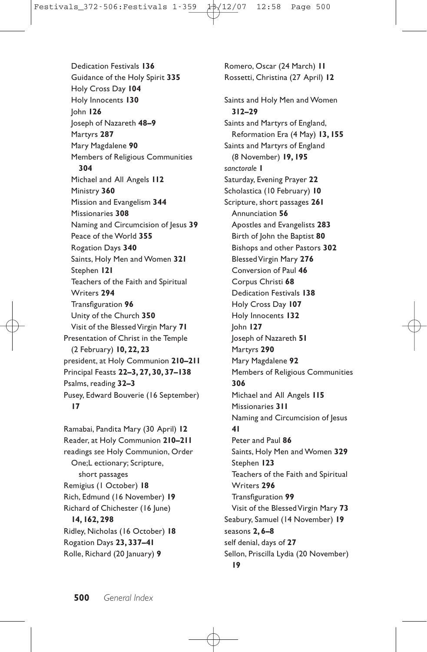Dedication Festivals **136** Guidance of the Holy Spirit **335** Holy Cross Day **104** Holy Innocents **130** John **126** Joseph of Nazareth **48–9** Martyrs **287** Mary Magdalene **90** Members of Religious Communities **304** Michael and All Angels **112** Ministry **360** Mission and Evangelism **344** Missionaries **308** Naming and Circumcision of Jesus **39** Peace of the World **355** Rogation Days **340** Saints, Holy Men and Women **321** Stephen **121** Teachers of the Faith and Spiritual Writers **294** Transfiguration **96** Unity of the Church **350** Visit of the BlessedVirgin Mary **71** Presentation of Christ in the Temple (2 February) **10, 22, 23** president, at Holy Communion **210–211** Principal Feasts **22–3, 27, 30, 37–138** Psalms, reading **32–3** Pusey, Edward Bouverie (16 September) **17**

Ramabai, Pandita Mary (30 April) **12** Reader, at Holy Communion **210–211** readings *see* Holy Communion, Order One;L ectionary; Scripture, short passages Remigius (1 October) **18** Rich, Edmund (16 November) **19** Richard of Chichester (16 June) **14, 162, 298** Ridley, Nicholas (16 October) **18** Rogation Days **23, 337–41** Rolle, Richard (20 January) **9**

Romero, Oscar (24 March) **11** Rossetti, Christina (27 April) **12** Saints and Holy Men and Women **312–29** Saints and Martyrs of England, Reformation Era (4 May) **13, 155** Saints and Martyrs of England (8 November) **19, 195** *sanctorale* **1** Saturday, Evening Prayer **22** Scholastica (10 February) **10** Scripture, short passages **261** Annunciation **56** Apostles and Evangelists **283** Birth of John the Baptist **80** Bishops and other Pastors **302** BlessedVirgin Mary **276** Conversion of Paul **46** Corpus Christi **68** Dedication Festivals **138** Holy Cross Day **107** Holy Innocents **132** John **127** Joseph of Nazareth **51** Martyrs **290** Mary Magdalene **92** Members of Religious Communities **306** Michael and All Angels **115** Missionaries **311** Naming and Circumcision of Jesus **41** Peter and Paul **86** Saints, Holy Men and Women **329** Stephen **123** Teachers of the Faith and Spiritual Writers **296** Transfiguration **99** Visit of the BlessedVirgin Mary **73** Seabury, Samuel (14 November) **19** seasons **2, 6–8** self denial, days of **27** Sellon, Priscilla Lydia (20 November) **19**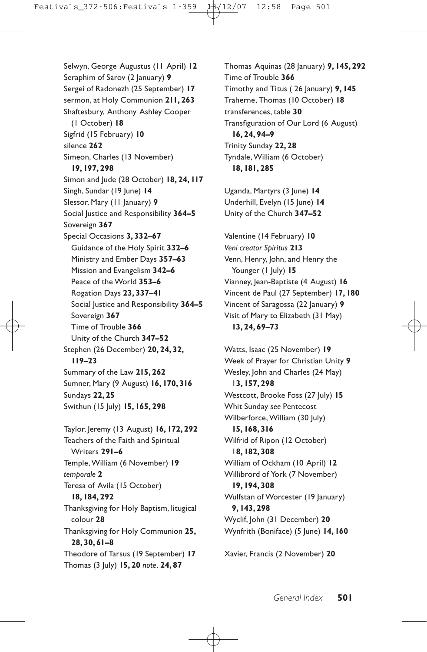Festivals\_372-506:Festivals 1-359 13/12/07 12:58 Page 501

Selwyn, George Augustus (11 April) **12** Seraphim of Sarov (2 January) **9** Sergei of Radonezh (25 September) **17** sermon, at Holy Communion **211, 263** Shaftesbury, Anthony Ashley Cooper (1 October) **18** Sigfrid (15 February) **10** silence **262** Simeon, Charles (13 November) **19, 197, 298** Simon and Jude (28 October) **18, 24, 117** Singh, Sundar (19 June) **14** Slessor, Mary (11 January) **9** Social Justice and Responsibility **364–5** Sovereign **367** Special Occasions **3, 332–67** Guidance of the Holy Spirit **332–6** Ministry and Ember Days **357–63** Mission and Evangelism **342–6** Peace of the World **353–6** Rogation Days **23, 337–41** Social Justice and Responsibility **364–5** Sovereign **367** Time of Trouble **366** Unity of the Church **347–52** Stephen (26 December) **20, 24, 32, 119–23** Summary of the Law **215, 262** Sumner, Mary (9 August) **16, 170, 316** Sundays **22, 25** Swithun (15 July) **15, 165, 298** Taylor, Jeremy (13 August) **16, 172, 292** Teachers of the Faith and Spiritual Writers **291–6** Temple,William (6 November) **19** *temporale* **2** Teresa of Avila (15 October) **18, 184, 292** Thanksgiving for Holy Baptism, litugical colour **28** Thanksgiving for Holy Communion **25,**

**28, 30, 61–8**

Theodore of Tarsus (19 September) **17** Thomas (3 July) **15, 20** *note*, **24, 87**

Thomas Aquinas (28 January) **9, 145, 292** Time of Trouble **366** Timothy and Titus ( 26 January) **9, 145** Traherne, Thomas (10 October) **18** transferences, table **30** Transfiguration of Our Lord (6 August) **16, 24, 94–9** Trinity Sunday **22, 28** Tyndale,William (6 October) **18, 181, 285**

Uganda, Martyrs (3 June) **14** Underhill, Evelyn (15 June) **14** Unity of the Church **347–52**

Valentine (14 February) **10** *Veni creator Spiritus* **213** Venn, Henry, John, and Henry the Younger (1 July) **15** Vianney, Jean-Baptiste (4 August) **16** Vincent de Paul (27 September) **17, 180** Vincent of Saragossa (22 January) **9** Visit of Mary to Elizabeth (31 May) **13, 24, 69–73**

Watts, Isaac (25 November) **19** Week of Prayer for Christian Unity **9** Wesley, John and Charles (24 May) 1**3, 157, 298** Westcott, Brooke Foss (27 July) **15** Whit Sunday *see* Pentecost Wilberforce,William (30 July) **15, 168, 316** Wilfrid of Ripon (12 October) 1**8, 182, 308** William of Ockham (10 April) **12** Willibrord of York (7 November) **19, 194, 308** Wulfstan of Worcester (19 January) **9, 143, 298** Wyclif, John (31 December) **20** Wynfrith (Boniface) (5 June) **14, 160**

Xavier, Francis (2 November) **20**

*General Index* **501**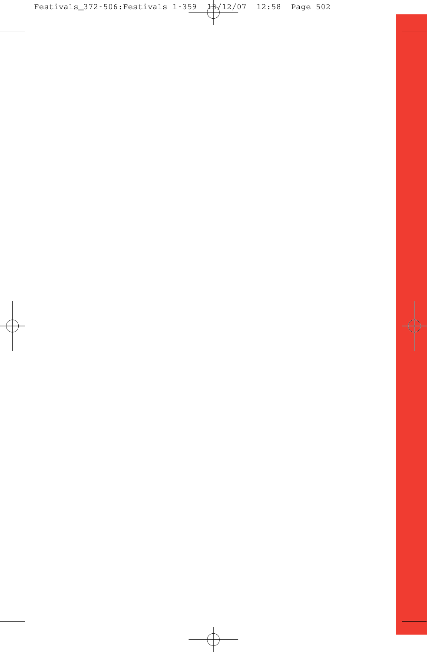$\overline{\varphi}$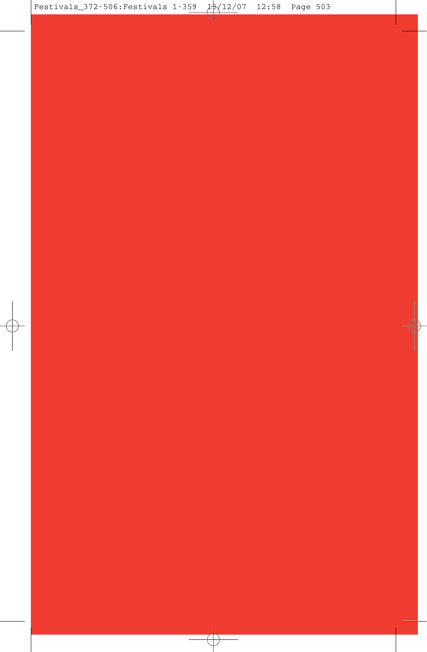$\overline{\bigoplus}$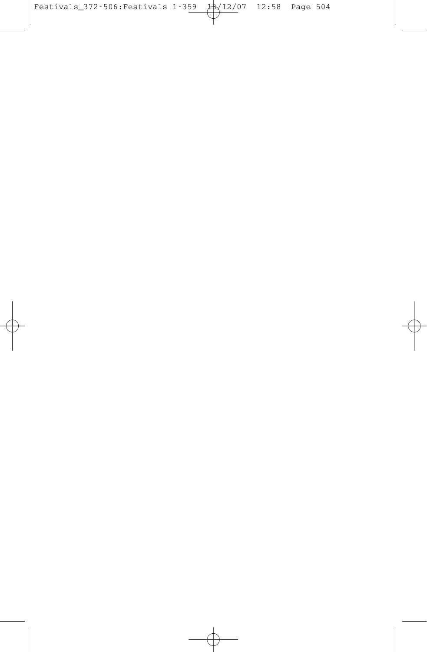$\mathbin{\oplus}$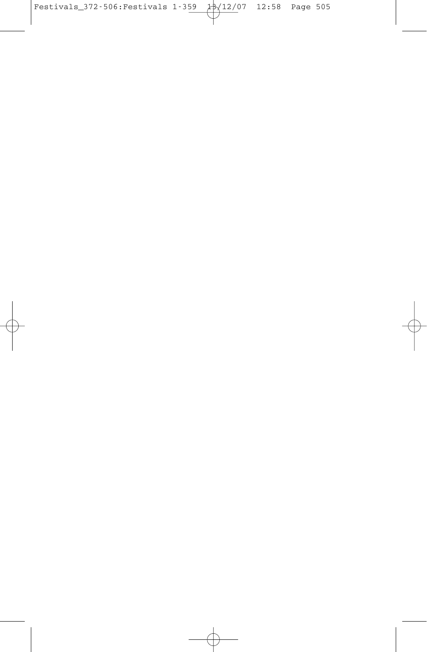$\mathbin{\oplus}$